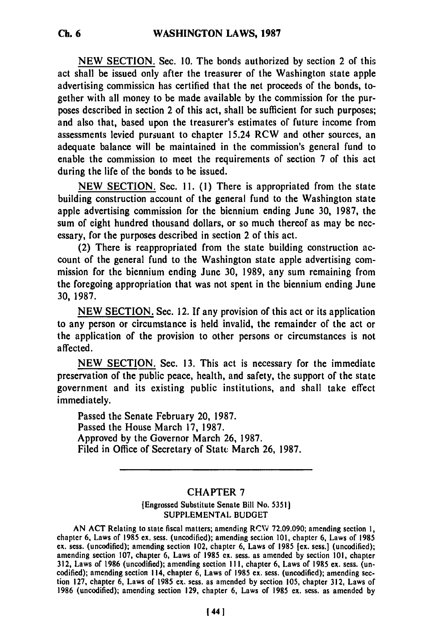**NEW SECTION.** Sec. **10.** The bonds authorized **by** section 2 of this act shall be issued only after the treasurer of the Washington state apple advertising commission has certified that the net proceeds of the bonds, together with all money to be made available **by** the commission for the purposes described in section 2 of this act, shall be sufficient for such purposes; and also that, based upon the treasurer's estimates of future income from assessments levied pursuant to chapter 15.24 RCW and other sources, an adequate balance will be maintained in the commission's general fund to enable the commission to meet the requirements of section 7 of this act during the life of the bonds to **be** issued.

**NEW** SECTION. Sec. **11. (1)** There is appropriated from the state building construction account of the general fund to the Washington state apple advertising commission for the biennium ending June **30, 1987,** the sum of eight hundred thousand dollars, or so much thereof as may be necessary, for the purposes described in section 2 of this act.

(2) There is reappropriated from the state building construction account of the general fund to the Washington state apple advertising commission for the biennium ending June **30, 1989,** any sum remaining from the foregoing appropriation that was not spent in the biennium ending June **30, 1987.**

**NEW** SECTION. Sec. 12. **If** any provision of this act or its application to any person or circumstance is held invalid, the remainder of the act or the application of the provision to other persons or circumstances is not affected.

**NEW** SECTION. Sec. **13.** This act is necessary for the immediate preservation of the public peace, health, and safety, the support of the state government and its existing public institutions, and shall take effect immediately.

Passed the Senate February 20, 1987. Passed the House March **17, 1987.** Approved by the Governor March **26, 1987.** Filed in Office of Secretary of State March **26,** 1987.

### CHAPTER **7**

### [Engrossed Substitute Senate Bill No. **5351] SUPPLEMENTAL BUDGET**

**AN ACT** Relating to state fiscal matters; amending **RCW 72.09.090;** amending section **1,** chapter **6,** Laws of **1985 ex.** sess. (uncodified); amending section **101,** chapter **6,** Laws of **<sup>1985</sup>** chapter 6, Laws of 1985 ex. sess. (uncodified); amending section 101, chapter 6, Laws of 1985 ex. sess.] (uncodified); amending section 102, chapter 6, Laws of 1985 [ex. sess.] (uncodified); amending section **107,** chapter **6,** Laws of **1985** ex. sess. as amended **by** section **101,** chapter **312,** Laws of **1986** (uncodified); amending section **I11,** chapter **6,** Laws of **1985 ex.** sess. (un- 312, Laws of 1986 (uncodified); amending section 111, chapter 6, Laws of 1985 ex. sess. (uncodified); amending section 114, chapter  $\vec{6}$ , Laws of 1985 ex. sess. (uncodified); amending sec-**1986** (uncodified); amending section **129,** chapter **6,** Laws of **1985** ex. sess. as amended **by**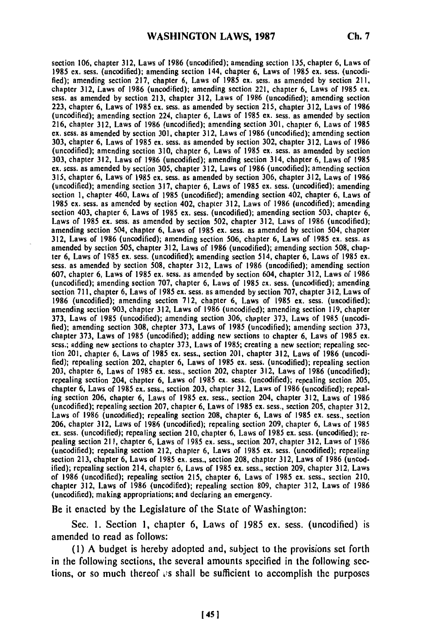section **106,** chapter **312,** Laws of **1986** (uncodifled); amending section **135,** chapter **6,** Laws of **1985 ex.** sess. (uncodified); amending section 144, chapter **6,** Laws of **1985 ex.** sess. (uncodifled); amending section **217,** chapter **6,** Laws of **1985 ex.** sess. as amended **by** section **211,** chapter **312,** Laws of **1986** (uncodified); amending section 221, chapter **6,** Laws of **1985 ex. sess.** as amended **by** section **213,** chapter **312,** Laws of **1986** (uncodified); amending section **223,** chapter **6,** Laws of **1985 ex.** sess. as amended **by** section **215,** chapter **312,** Laws of **1986** (uncodifled); amending section 224, chapter **6,** Laws of **1985 ex.** sess. as amended **by** section **216,** chapter **312,** Laws of **1986** (uncodified); amending section **301,** chapter **6,** Laws of **1985** ex. sess. as amended **by** section **301,** chapter **312,** Laws **of 1986** (uncodified); amending section **303,** chapter **6,** Laws of **1985** ex. sess. as amended **by** section **302,** chapter **312,** Laws of **1986** (uncodified); amending section **310,** chapter **6,** Laws of **1985** ex. sess. as amended **by** section **303,** chapter **312,** Laws of **1986** (uncodified); amending section 314, chapter **6,** Laws of **1985 ex.** sess. as amended **by** section **305,** chapter **312,** Laws of **1986** (uncodified); amending section **315,** chapter **6,** Laws of **1985 ex.** sess. as amended **by** section **306,** chapter **312,** Laws of **1986** (uncodified); amending section **317,** chapter **6,** Laws of **1985 ex.** sess. (uncodified); amending section **1,** chapter 460, Laws of **1985** (uncodified); amending section 402, chapter **6,** Laws of **1985** ex. sess. as amended **by** section 402, chapter **312,** Laws of **1986** (uncodified); amending section 403, chapter **6,** Laws of **1985 ex.** sess. (uncodified); amending section **503,** chapter **6,** Laws of **1985** ex. sess. as amended **by** section **502,** chapter **312,** Laws of **1986** (uncodified); amending section 504, chapter **6,** Laws of **1985** ex. sess. as amended **by** section 504, chapter **312,** Laws of **1986** (uncodified); amending section **506,** chapter **6,** Laws of **1985 ex.** sess. as amended **by** section **505,** chapter **312,** Laws of **1986** (uncodified); amending section **508,** chapamended by section 505, chapter 312, Laws of 1986 (uncodified); amending section 508, chapter 6, Laws of 1985 ex. sess. (uncodified); amending section 514, chapter 6, Laws of 1985 ex. sess. as amended **by** section **508,** chapter **312,** Laws of **1986** (uncodified); amending section **607,** chapter **6,** Laws of **1985 ex.** sess. as amended **by** section 604, chapter **312,** Laws of **1986** (uncodified); amending section **707,** chapter **6,** Laws of **1985 ex.** sess. (uncodifled); amending section **711,** chapter **6,** Laws of **1985** ex. sess. as amended **by** section **707,** chapter **312,** Laws of **1986** (uncodified); amending section **712,** chapter **6,** Laws of **1985 ex.** sess. (uncodified); amending section **903,** chapter **312,** Laws of **1986** (uncodified); amending section **119,** chapter **373,** Laws of **1985** (uncodified); amending section **306,** chapter **373,** Laws of **1985** (uncodi**fled);** amending section **308,** chapter **373,** Laws of **1985** (uncodified); amending section **373,** fied); amending section 308, chapter 373, Laws of 1985 (uncodified); amending section 373, Laws of 1985 ex.<br>chapter 373, Laws of 1985 (uncodified); adding new sections to chapter 6, Laws of 1985 ex. sess.; adding new sections to chapter **373,** Laws of **1985;** creating a new section; repealing **sec**tion 201, chapter **6,** Laws of **1985 ex.** sess., section 201, chapter **312,** Laws of **1986** (uncodi**fled);** repealing section 202, chapter **6,** Laws of **1985** ex. sess. (uncodifled); repealing section **203,** chapter **6,** Laws of **1985 ex.** sess., section 202, chapter **312,** Laws of **1986** (uncodified); repealing section 204, chapter **6,** Laws of **1985 ex.** sess. (uncodified); repealing section **205,** repealing section 204, chapter 6, Laws of 1985 ex. sess. (uncodified); repealing section 205, chapter 6, Laws of 1985 ex. sess., section 203, chapter 312, Laws of 1986 (uncodified); repealing section 206, chapter 6, Laws of 1985 ex. sess., section 204, chapter 312, Laws of 1986 Laws of **1986** (uncodified); repealing section **208,** chapter **6,** Laws of **1985 ex.** sess., section **206,** chapter **312,** Laws of **1986** (uncodified); repealing section **209,** chapter **6,** Laws of **1985 ex.** sess. (uncodified); repealing section 210, chapter **6,** Laws of **1985** ex. sess. (uncodified); **re**ex. sess. (uncodified); repealing section 210, chapter 6, Laws of 1985 ex. sess. (uncodified); re-<br>pealing section 211, chapter 6, Laws of 1985 ex. sess., section 207, chapter 312, Laws of 1986 (uncodifled); repealing section 212, chapter **6,** Laws of **1985** ex. sess. (uncodifled); repealing section **213,** chapter **6,** Laws of **1985** ex. sess., section **208,** chapter **312,** Laws **of 1986** (uncodified); repealing section 214, chapter **6,** Laws of **1985 ex.** sess., section **209,** chapter **312,** Laws of **1986** (uncodified); repealing section **215,** chapter **6,** Laws of **1985 ex.** sess., section 210, of 1986 (uncodified); repealing section 215, chapter 6, Laws of 1985 ex. sess., section 210, chapter 312, Laws of 1986 (uncodified); repealing section 809, chapter 312, Laws of 1986<br>(uncodified); making appropriations; and declaring an emergency.

Be it enacted **by** the Legislature of the State of Washington:

Sec. **1.** Section **1,** chapter **6,** Laws of **1985** ex. sess. (uncodified) is amended to read as follows:

**(1) A** budget is hereby adopted and, subject to the provisions set forth in the following sections, the several amounts specified in the following sections, or so much thereof  $\alpha$  shall be sufficient to accomplish the purposes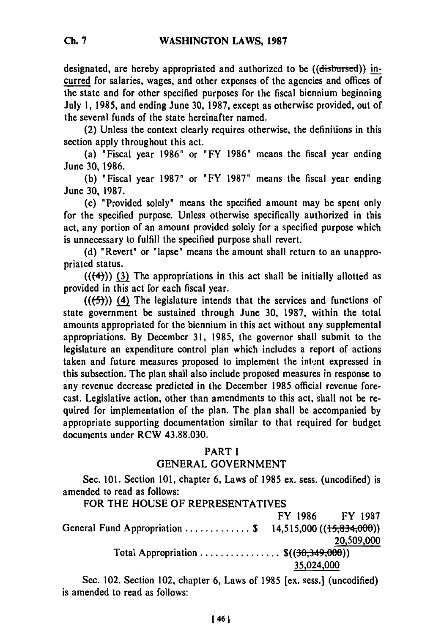designated, are hereby appropriated and authorized to be ((disbursed)) incurred for salaries, wages, and other expenses of the agencies and offices of the state and for other specified purposes for the fiscal biennium beginning July 1, **1985,** and ending June **30, 1987,** except as otherwise provided, out of the several funds of the state hereinafter named.

(2) Unless the context clearly requires otherwise, the definitions in this section apply throughout this act.

(a) "Fiscal year **1986"** or **"FY** 1986" means the fiscal year ending June **30,** 1986.

**(b)** "Fiscal year **1987"** or **"FY 1987"** means the fiscal year ending June **30, 1987.**

(c) "Provided solely" means the specified amount may be spent only for the specified purpose. Unless otherwise specifically authorized in this act, any portion of an amount provided solely for a specified purpose which is unnecessary to fulfill the specified purpose shall revert.

**(d)** "Revert" or "lapse" means the amount shall return to an unappropriated status.

 $((\langle 4 \rangle)$ ) (3) The appropriations in this act shall be initially allotted as provided in this act for each fiscal year.

**(((5))) (4)** The legislature intends that the services and functions of state government be sustained through June **30, 1987,** within the total amounts appropriated for the biennium in this act without any supplemental appropriations. **By** December **31, 1985,** the governor shall submit to the legislature an expenditure control plan which includes a report of actions taken and future measures proposed to implement the intent expressed in this subsection. The plan shall also include proposed measures in response to any revenue decrease predicted in the December **1985** official revenue forecast. Legislative action, other than amendments to this act, shall not be required for implementation of the plan. The plan shall be accompanied **by** appropriate supporting documentation similar to that required for budget documents under RCW **43.88.030.**

### PART I

### **GENERAL GOVERNMENT**

Sec. **101.** Section **101,** chapter **6,** Laws of **1985** ex. sess. (uncodified) is amended to read as follows:

FOR THE **HOUSE** OF REPRESENTATIVES

|                                                          | FY 1986    | <b>FY 1987</b> |
|----------------------------------------------------------|------------|----------------|
| General Fund Appropriation  \$ 14,515,000 ((15,834,000)) |            |                |
|                                                          |            | 20,509,000     |
| Total Appropriation $\mathfrak{S}((30,349,000))$         |            |                |
|                                                          | 35,024,000 |                |

Sec. 102. Section 102, chapter **6,** Laws of **1985** [ex. sess.] (uncodified) is amended to read as follows: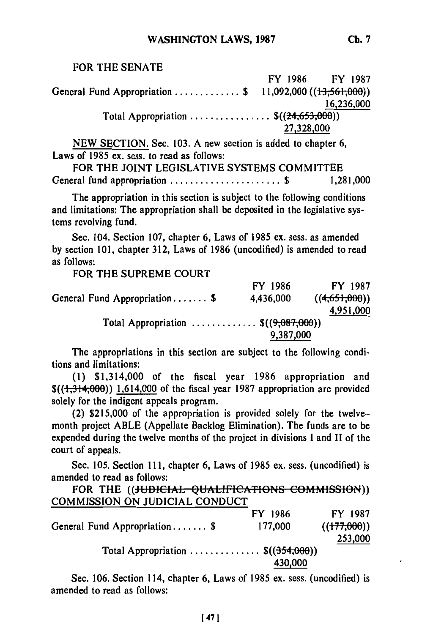### FOR THE **SENATE**

FY 1986 FY **1987** General Fund Appropriation ............. **\$** 11,092,000((13,56i,000)) **16,236,000** Total Appropriation .................. \$((24,653,000))<br>27,328,000

**NEW** SECTION. Sec. 103. A new section is added to chapter **6,** Laws of 1985 ex. sess. to read as follows:

FOR THE **JOINT LEGISLATIVE** SYSTEMS COMMITTEE General fund appropriation ............................\$ 1,281,000

The appropriation in this section is subject to the following conditions and limitations: The appropriation shall be deposited in the legislative systems revolving fund.

Sec. 104. Section **107,** chapter 6, Laws of 1985 ex. sess. as amended **by** section 101, chapter **312,** Laws of 1986 (uncodified) is amended to read as follows:

FOR THE **SUPREME COURT**

FY 1986 FY **1987** General Fund Appropriation ....... **\$** 4,436,000 **((4,651,600)) 4,951,000** Total Appropriation .............. \$((9,087,000)) **9,387,000**

The appropriations in this section are subject to the following conditions and limitations:

(1) \$1,314,000 of the fiscal year 1986 appropriation and  $\left(\frac{1,314,000}{1,614,000}\right)$  1,614,000 of the fiscal year 1987 appropriation are provided solely for the indigent appeals program.

(2) \$215,000 of the appropriation is provided solely for the twelvemonth project ABLE (Appellate Backlog Elimination). The funds are to be expended during the twelve months of the project in divisions **I** and **II** of the court of appeals.

Sec. 105. Section **111,** chapter 6, Laws of 1985 ex. sess. (uncodified) is amended to read as follows:

FOR THE ((HUDICIAL QUALIFICATIONS COMMISSION)) COMMISSION ON JUDICIAL CONDUCT

| FY 1986                                       | FY 1987     |
|-----------------------------------------------|-------------|
| 177,000                                       | ((177,000)) |
|                                               | 253,000     |
| Total Appropriation $\mathfrak{S}((354,000))$ |             |
| 430,000                                       |             |
|                                               |             |

Sec. **106.** Section 114, chapter **6,** Laws of 1985 ex. sess. (uncodified) is amended to read as follows: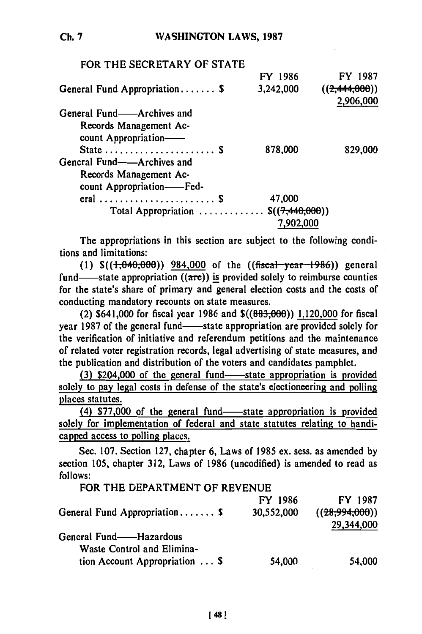| FOR THE SECRETARY OF STATE                     |           |                            |
|------------------------------------------------|-----------|----------------------------|
|                                                | FY 1986   | FY 1987                    |
| General Fund Appropriation \$                  | 3,242,000 | ((2,444,000))<br>2,906,000 |
| General Fund——Archives and                     |           |                            |
| Records Management Ac-<br>count Appropriation- |           |                            |
| State  \$                                      | 878,000   | 829,000                    |
| General Fund——Archives and                     |           |                            |
| Records Management Ac-                         |           |                            |
| count Appropriation-Fed-                       |           |                            |
| eral  \$                                       | 47,000    |                            |
| Total Appropriation $\mathcal{S}((7,440,000))$ |           |                            |
|                                                |           |                            |

The appropriations in this section are subject to the following conditions and limitations:

 $(1)$   $\frac{\sqrt{1,040,000}}{2}$ ) 984,000 of the  $((\frac{\sqrt{1,040,000}}{2})$  general fund—state appropriation  $((\text{arc}))$  is provided solely to reimburse counties for the state's share of primary and general election costs and the costs of conducting mandatory recounts on state measures.

(2) \$641,000 for fiscal year **1986** and **\$((883;,66))** 1,120,000 for fiscal year 1987 of the general fund—state appropriation are provided solely for the verification of initiative and referendum petitions and the maintenance of related voter registration records, legal advertising of state measures, and the publication and distribution of the voters and candidates pamphlet.

(3) \$204,000 of the general fund—state appropriation is provided solely to pay legal costs in defense of the state's electioneering and polling places statutes.

(4) \$77,000 of the general fund-state appropriation is provided solely for implementation of federal and state statutes relating to handicapped access to polling places.

Sec. **107.** Section **127,** chapter **6,** Laws of **1985** ex. sess. as amended **by** section **105,** chapter **312,** Laws of **1986** (uncodified) is amended to read as **follows:**

| FOR THE DEPARTMENT OF REVENUE          |            |                |
|----------------------------------------|------------|----------------|
|                                        | FY 1986    | FY 1987        |
| General Fund Appropriation \$          | 30,552,000 | ((28,994,000)) |
|                                        |            | 29,344,000     |
| General Fund——Hazardous                |            |                |
| Waste Control and Elimina-             |            |                |
| tion Account Appropriation $\ldots$ \$ | 54,000     | 54,000         |
|                                        |            |                |

**Ch. 7**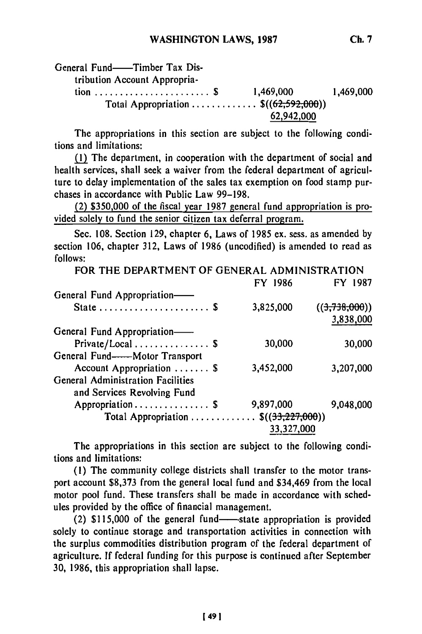62,942,000

The appropriations in this section are subject to the following conditions and limitations:

(1) The department, in cooperation with the department of social and health services, shall seek a waiver from the federal department of agriculture to delay implementation of the sales tax exemption on food stamp purchases in accordance with Public Law 99-198.

(2) **\$350,000** of the fiscal year **1987** general fund appropriation is provided solely to fund the senior citizen tax deferral program.

Sec. 108. Section 129, chapter 6, Laws of 1985 ex. sess. as amended by section 106, chapter 312, Laws of 1986 (uncodified) is amended to read as follows:

| FOR THE DEPARTMENT OF GENERAL ADMINISTRATION |            |               |
|----------------------------------------------|------------|---------------|
|                                              | FY 1986    | FY 1987       |
| General Fund Appropriation-                  |            |               |
| State  \$                                    | 3,825,000  | ((3,738,000)) |
|                                              |            | 3,838,000     |
| General Fund Appropriation-                  |            |               |
| Private/Local \$                             | 30,000     | 30,000        |
| General Fund----Motor Transport              |            |               |
| Account Appropriation  \$                    | 3,452,000  | 3,207,000     |
| <b>General Administration Facilities</b>     |            |               |
| and Services Revolving Fund                  |            |               |
| Appropriation \$                             | 9,897,000  | 9,048,000     |
| Total Appropriation $\$((33,227,000))$       |            |               |
|                                              | 33,327,000 |               |

The appropriations in this section are subject to the following conditions and limitations:

**(I)** The community college districts shall transfer to the motor transport account **\$8,373** from the general local fund and \$34,469 from the local motor pool fund. These transfers shall be made in accordance with schedules provided **by** the office of financial management.

(2) \$115,000 of the general fund-state appropriation is provided solely to continue storage and transportation activities in connection with the surplus commodities distribution program of the federal department of agriculture. **If** federal funding for this purpose is continued after September **30,** 1986, this appropriation shall lapse.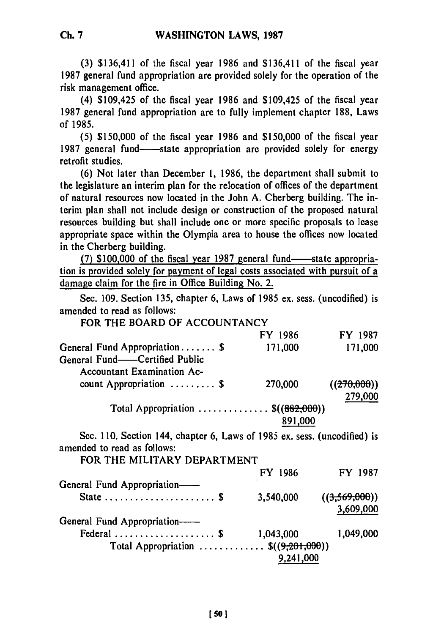**(3)** \$136,411 of the fiscal year **1986** and \$136,411 of the fiscal year 1987 general fund appropriation are provided solely for the operation of the risk management office.

(4) \$109,425 of the fiscal year 1986 and \$109,425 of the fiscal year 1987 general fund appropriation are to fully implement chapter 188, Laws of 1985.

(5) \$150,000 of the fiscal year 1986 and **\$150,000** of the fiscal year 1987 general fund—state appropriation are provided solely for energy retrofit studies.

(6) Not later than December **1,** 1986, the department shall submit to the legislature an interim plan for the relocation of offices of the department of natural resources now located in the John **A.** Cherberg building. The interim plan shall not include design or construction of the proposed natural resources building but shall include one or more specific proposals to lease appropriate space within the Olympia area to house the offices now located in the Cherberg building.

(7) \$100,000 of the fiscal year 1987 general fund—state appropriation is provided solely for payment of legal costs associated with pursuit of a damage claim for the fire in Office Building No. 2.

Sec. 109. Section 135, chapter 6, Laws of 1985 ex. sess. (uncodified) is amended to read as follows:

| FOR THE BOARD OF ACCOUNTANCY                                             |           |               |
|--------------------------------------------------------------------------|-----------|---------------|
|                                                                          | FY 1986   | FY 1987       |
| General Fund Appropriation \$                                            | 171,000   | 171,000       |
| General Fund-Certified Public                                            |           |               |
| <b>Accountant Examination Ac-</b>                                        |           |               |
| count Appropriation $\ldots \ldots \ldots$                               | 270,000   | ((270,000))   |
|                                                                          |           | 279,000       |
| Total Appropriation $\mathfrak{S}((882,000))$                            |           |               |
|                                                                          | 891,000   |               |
| Sec. 110. Section 144, chapter 6, Laws of 1985 ex. sess. (uncodified) is |           |               |
| amended to read as follows:                                              |           |               |
| FOR THE MILITARY DEPARTMENT                                              |           |               |
|                                                                          | FY 1986   | FY 1987       |
| General Fund Appropriation-                                              |           |               |
|                                                                          | 3,540,000 | ((3,569,000)) |
|                                                                          |           | 3,609,000     |
| General Fund Appropriation-                                              |           |               |
| Federal  \$                                                              | 1,043,000 | 1,049,000     |
| Total Appropriation $\mathfrak{S}((9,201,000))$                          |           |               |
|                                                                          | 9,241,000 |               |
|                                                                          |           |               |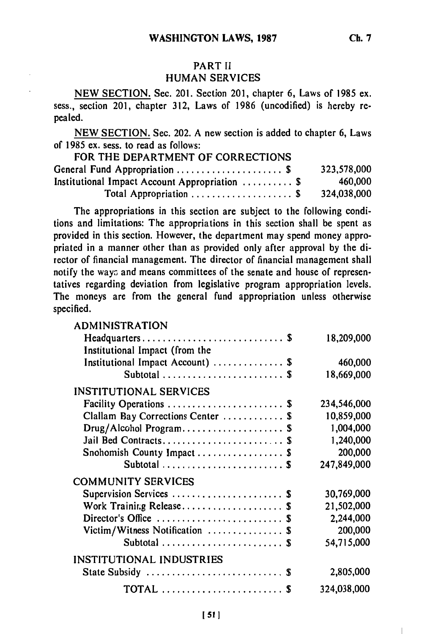## PART II HUMAN SERVICES

NEW SECTION. Sec. 201. Section 201, chapter **6,** Laws of 1985 ex. sess., section 201, chapter 312, Laws of **1986** (uncodified) is hereby repealed.

NEW SECTION. Sec. 202. A new section is added to chapter 6, Laws of **1985** ex. sess. to read as follows:

| FOR THE DEPARTMENT OF CORRECTIONS              |             |
|------------------------------------------------|-------------|
| General Fund Appropriation  \$                 | 323,578,000 |
| Institutional Impact Account Appropriation  \$ | 460,000     |
| Total Appropriation \$                         | 324,038,000 |

The appropriations in this section **are** subject to the following conditions and limitations: The appropriations in this section shall be spent as provided in this section. However, the department may spend money appropriated in a manner other than as provided only after approval **by** the director of financial management. The director of financial management shall notify the ways and means committees of the senate and house of representatives regarding deviation from legislative program appropriation levels. The moneys **are** from the general fund appropriation unless otherwise specified.

ADMINISTRATION

| <b>ADMINISTRATION</b>                                    |             |
|----------------------------------------------------------|-------------|
|                                                          | 18,209,000  |
| Institutional Impact (from the                           |             |
| Institutional Impact Account)  \$                        | 460,000     |
| Subtotal  \$                                             | 18,669,000  |
| <b>INSTITUTIONAL SERVICES</b>                            |             |
| Facility Operations  \$                                  | 234,546,000 |
| Clallam Bay Corrections Center  \$                       | 10,859,000  |
| Drug/Alcohol Program \$                                  | 1,004,000   |
|                                                          | 1,240,000   |
| Snohomish County Impact \$                               | 200,000     |
|                                                          | 247,849,000 |
| <b>COMMUNITY SERVICES</b>                                |             |
| Supervision Services  \$                                 | 30,769,000  |
| Work Training Release \$                                 | 21,502,000  |
| Director's Office  \$                                    | 2,244,000   |
| Victim/Witness Notification  \$                          | 200,000     |
| Subtotal  \$                                             | 54,715,000  |
| INSTITUTIONAL INDUSTRIES                                 |             |
| State Subsidy  \$                                        | 2,805,000   |
| TOTAL $\ldots \ldots \ldots \ldots \ldots \ldots \ldots$ | 324,038,000 |
|                                                          |             |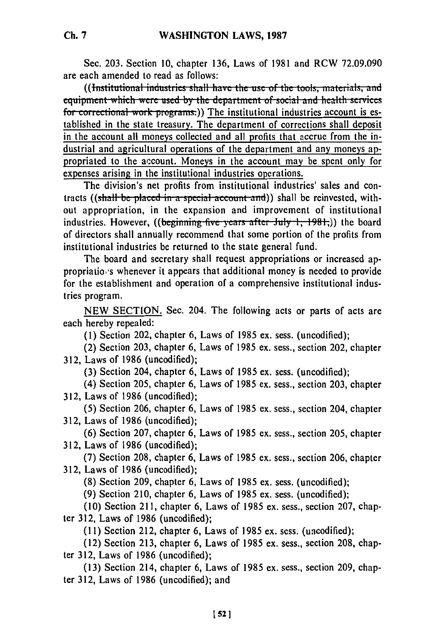Sec. 203. Section **10,** chapter 136, Laws of 1981 and RCW 72.09.090 are each amended to read as follows:<br>((Institutional industries shall have the use of the tools, materials, and

equipment which were used by the department of social and health services for correctional work programs.)) The institutional industries account is established in the state treasury. The department of corrections shall deposit in the account all moneys collected and all profits that accrue from the industrial and agricultural operations of the department and any moneys appropriated to the account. Moneys in the account may be spent only for expenses arising in the institutional industries operations.

The division's net profits from institutional industries' sales and contracts ((shall be placed in a special account and)) shall be reinvested, without appropriation, in the expansion and improvement of institutional industries. However, ((beginning five years after July 1, 1981,)) the board of directors shall annually recommend that some portion of the profits from institutional industries be returned to the state general fund.

The board and secretary shall request appropriations or increased appropriatio,'s whenever it appears that additional money is needed to provide for the establishment and operation of a comprehensive institutional industries program.

NEW SECTION. Sec. 204. The following acts or parts of acts are each hereby repealed:

**(1)** Section 202, chapter 6, Laws of 1985 ex. sess. (uncodified);

(2) Section 203, chapter 6, Laws of 1985 ex. sess., section 202, chapter 312, Laws of 1986 (uncodified);

(3) Section 204, chapter 6, Laws of 1985 ex. sess. (uncodified);

(4) Section 205, chapter 6, Laws of 1985 ex. sess., section 203, chapter 312, Laws of 1986 (uncodified);

(5) Section 206, chapter 6, Laws of 1985 ex. sess., section 204, chapter 312, Laws of 1986 (uncodified);

(6) Section 207, chapter 6, Laws of 1985 ex. sess., section 205, chapter 312, Laws of 1986 (uncodified);

(7) Section 208, chapter 6, Laws of 1985 ex. sess., section 206, chapter 312, Laws of 1986 (uncodified);

(8) Section 209, chapter 6, Laws of 1985 ex. sess. (uncodified);

(9) Section 210, chapter 6, Laws of 1985 ex. sess. (uncodified);

(10) Section 211, chapter 6, Laws of 1985 ex. sess., section 207, chapter 312, Laws of 1986 (uncodified);

(11) Section 212, chapter 6, Laws of 1985 ex. sess. (uncodified);

(12) Section 213, chapter 6, Laws of 1985 ex. sess., section 208, chapter 312, Laws of 1986 (uncodified);

(13) Section 214, chapter 6, Laws of 1985 ex. sess., section 209, chapter 312, Laws of 1986 (uncodified); and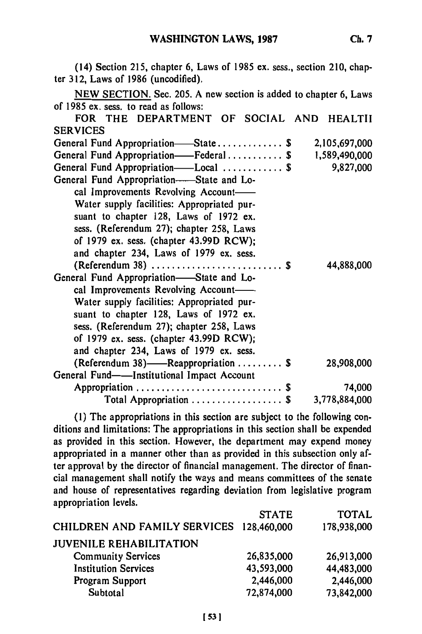(14) Section **215,** chapter **6,** Laws of **1985 ex.** sess., section 210, chapter **312,** Laws of **1986** (uncodified).

| NEW SECTION. Sec. 205. A new section is added to chapter 6, Laws |               |
|------------------------------------------------------------------|---------------|
| of 1985 ex. sess. to read as follows:                            |               |
| FOR THE DEPARTMENT OF SOCIAL AND HEALTII                         |               |
| <b>SERVICES</b>                                                  |               |
| General Fund Appropriation-State \$                              | 2,105,697,000 |
| General Fund Appropriation——Federal\$                            | 1,589,490,000 |
| General Fund Appropriation——Local  \$                            | 9,827,000     |
| General Fund Appropriation—State and Lo-                         |               |
| cal Improvements Revolving Account-                              |               |
| Water supply facilities: Appropriated pur-                       |               |
| suant to chapter 128, Laws of 1972 ex.                           |               |
| sess. (Referendum 27); chapter 258, Laws                         |               |
| of 1979 ex. sess. (chapter 43.99D RCW);                          |               |
| and chapter 234, Laws of 1979 ex. sess.                          |               |
|                                                                  | 44,888,000    |
| General Fund Appropriation-State and Lo-                         |               |
|                                                                  |               |
| cal Improvements Revolving Account-                              |               |
| Water supply facilities: Appropriated pur-                       |               |
| suant to chapter 128, Laws of 1972 ex.                           |               |
| sess. (Referendum 27); chapter 258, Laws                         |               |
| of 1979 ex. sess. (chapter 43.99D RCW);                          |               |
| and chapter 234, Laws of 1979 ex. sess.                          |               |
| (Referendum 38)——Reappropriation \$                              | 28,908,000    |
| General Fund——Institutional Impact Account                       |               |
| Appropriation  \$                                                | 74,000        |
| Total Appropriation $\ldots \ldots \ldots \ldots$                | 3.778.884.000 |

(1) The appropriations in this section are subject to the following conditions and limitations: The appropriations in this section shall be expended as provided in this section. However, the department may expend money appropriated in a manner other than as provided in this subsection only after approval by the director of financial management. The director of financial management shall notify the ways and means committees of the senate and house of representatives regarding deviation from legislative program appropriation levels.

|                                          | <b>STATE</b> | <b>TOTAL</b> |
|------------------------------------------|--------------|--------------|
| CHILDREN AND FAMILY SERVICES 128,460,000 |              | 178,938,000  |
| <b>JUVENILE REHABILITATION</b>           |              |              |
| <b>Community Services</b>                | 26,835,000   | 26,913,000   |
| <b>Institution Services</b>              | 43,593,000   | 44,483,000   |
| Program Support                          | 2,446,000    | 2,446,000    |
| Subtotal                                 | 72,874,000   | 73,842,000   |
|                                          |              |              |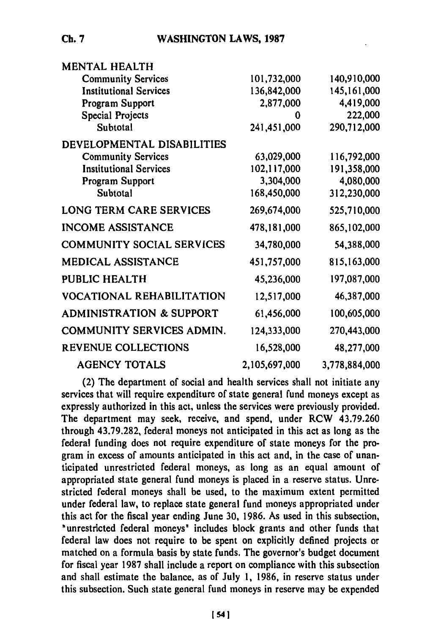| <b>MENTAL HEALTH</b>                |               |               |
|-------------------------------------|---------------|---------------|
| <b>Community Services</b>           | 101,732,000   | 140,910,000   |
| <b>Institutional Services</b>       | 136,842,000   | 145, 161, 000 |
| Program Support                     | 2,877,000     | 4,419,000     |
| Special Projects                    | 0             | 222,000       |
| Subtotal                            | 241,451,000   | 290,712,000   |
| DEVELOPMENTAL DISABILITIES          |               |               |
| <b>Community Services</b>           | 63,029,000    | 116,792,000   |
| <b>Institutional Services</b>       | 102,117,000   | 191,358,000   |
| Program Support                     | 3,304,000     | 4,080,000     |
| Subtotal                            | 168,450,000   | 312,230,000   |
| <b>LONG TERM CARE SERVICES</b>      | 269,674,000   | 525,710,000   |
| <b>INCOME ASSISTANCE</b>            | 478,181,000   | 865,102,000   |
| <b>COMMUNITY SOCIAL SERVICES</b>    | 34,780,000    | 54,388,000    |
| <b>MEDICAL ASSISTANCE</b>           | 451,757,000   | 815,163,000   |
| PUBLIC HEALTH                       | 45,236,000    | 197,087,000   |
| <b>VOCATIONAL REHABILITATION</b>    | 12,517,000    | 46,387,000    |
| <b>ADMINISTRATION &amp; SUPPORT</b> | 61,456,000    | 100,605,000   |
| COMMUNITY SERVICES ADMIN.           | 124,333,000   | 270,443,000   |
| REVENUE COLLECTIONS                 | 16,528,000    | 48,277,000    |
| <b>AGENCY TOTALS</b>                | 2,105,697,000 | 3,778,884,000 |

(2) The department of social and health services shall not initiate any services that will require expenditure of state general fund moneys except as expressly authorized in this act, unless the services were previously provided. The department may seek, receive, and spend, under RCW **43.79.260** through **43.79.282,** federal moneys not anticipated in this act as long as the federal funding does not require expenditure of state moneys for the program in excess of amounts anticipated in this act and, in the case of unanticipated unrestricted federal moneys, as long as an equal amount of appropriated state general fund moneys is placed in a reserve status. Unrestricted federal moneys shall be used, to the maximum extent permitted under federal law, to replace state general fund moneys appropriated under this act for the fiscal year ending June **30, 1986.** As used in this subsection, "unrestricted federal moneys" includes block grants and other funds that federal law does not require to be spent on explicitly defined projects or matched on a formula basis **by** state funds. The governor's budget document for fiscal year **1987** shall include a report on compliance with this subsection and shall estimate the balance, as of July **1, 1986,** in reserve status under this subsection. Such state general fund moneys in reserve may be expended

**Ch. 7**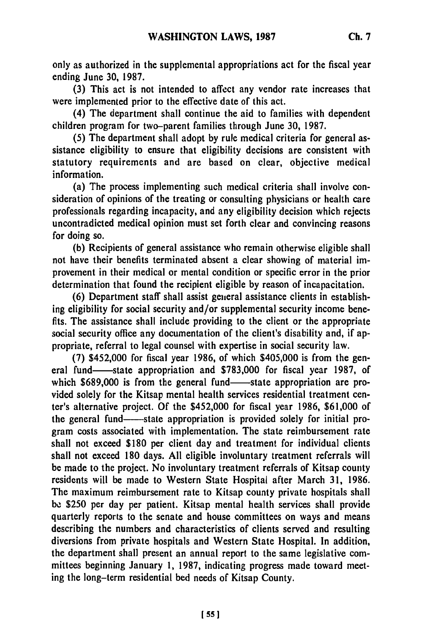only as authorized in the supplemental appropriations act for the fiscal year ending June **30, 1987.**

**(3)** This act is not intended to affect any vendor rate increases that were implemented prior to the effective date of this act.

(4) The department shall continue the aid to families with dependent children program for two-parent families through June **30, 1987.**

**(5)** The department shall adopt **by** rule medical criteria for general assistance eligibility to ensure that eligibility decisions are consistent with statutory requirements and are based on clear, objective medical information.

(a) The process implementing such medical criteria shall involve consideration of opinions of the treating or consulting physicians or health care professionals regarding incapacity, and any eligibility decision which rejects uncontradicted medical opinion must set forth clear and convincing reasons for doing so.

**(b)** Recipients of general assistance who remain otherwise eligible shall not have their benefits terminated absent a clear showing of material improvement in their medical or mental condition or specific error in the prior determination that found the recipient eligible **by** reason of incapacitation.

**(6)** Department staff shall assist general assistance clients in establishing eligibility for social security and/or supplemental security income benefits. The assistance shall include providing to the client or the appropriate social security office any documentation of the client's disability and, if appropriate, referral to legal counsel with expertise in social security law.

**(7)** \$452,000 for fiscal year **1986,** of which \$405,000 is from the general fund-state appropriation and **\$783,000** for fiscal year **1987,** of which \$689,000 is from the general fund—state appropriation are provided solely for the Kitsap mental health services residential treatment center's alternative project. **Of** the \$452,000 for fiscal year **1986, \$61,000** of the general fund-----state appropriation is provided solely for initial program costs associated with implementation. The state reimbursement rate shall not exceed **\$180** per client day and treatment for individual clients shall not exceed **180** days. **All** eligible involuntary treatment referrals will be made to the project. No involuntary treatment referrals of Kitsap county residents will be made to Western State Hospital after March **31, 1986.** The maximum reimbursement rate to Kitsap county private hospitals shall **be \$250** per day per patient. Kitsap mental health services shall provide quarterly reports to the senate and house committees on ways and means describing the numbers and characteristics of clients served and resulting diversions from private hospitals and Western State Hospital. In addition, the department shall present an annual report to the same legislative committees beginning January **1, 1987,** indicating progress made toward meeting the long-term residential bed needs of Kitsap County.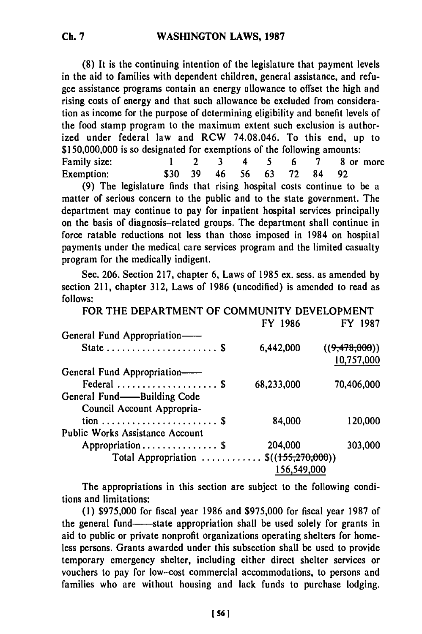**(8)** It is the continuing intention of the legislature that payment levels in the aid to families with dependent children, general assistance, and refugee assistance programs contain an energy allowance to offset the high and rising costs of energy and that such allowance be excluded from consideration as income for the purpose of determining eligibility and benefit levels of the food stamp program to the maximum extent such exclusion is authorized under federal law and RCW 74.08.046. To this end, up to **\$150,000,000** is so designated for exemptions of the following amounts: Family size: **1** 2 3 4 **5** 6 7 **8** or more Exemption: **\$30** 39 46 56 **63 72** 84 **92**

**(9)** The legislature finds that rising hospital costs continue to be a matter of serious concern to the public and to the state government. The department may continue to pay for inpatient hospital services principally on the basis of diagnosis-related groups. The department shall continue in force ratable reductions not less than those imposed in 1984 on hospital payments under the medical care services program and the limited casualty program for the medically indigent.

Sec. **206.** Section **217,** chapter **6,** Laws of **1985** ex. sess. as amended **by** section **211,** chapter **312,** Laws of **1986** (uncodified) is amended to read as **follows:**

| FOR THE DEPARTMENT OF COMMUNITY DEVELOPMENT |             |               |
|---------------------------------------------|-------------|---------------|
|                                             | FY 1986     | FY 1987       |
| General Fund Appropriation-                 |             |               |
| State  \$                                   | 6,442,000   | ((9,478,000)) |
|                                             |             | 10,757,000    |
| General Fund Appropriation-                 |             |               |
| Federal  \$                                 | 68,233,000  | 70,406,000    |
| General Fund——Building Code                 |             |               |
| Council Account Appropria-                  |             |               |
|                                             | 84,000      | 120,000       |
| <b>Public Works Assistance Account</b>      |             |               |
| Appropriation \$                            | 204,000     | 303,000       |
| Total Appropriation $\$((155,270,000))$     |             |               |
|                                             | 156,549,000 |               |

The appropriations in this section are subject to the following conditions and limitations:

(1) \$975,000 for fiscal year 1986 and \$975,000 for fiscal year 1987 of the general fund—state appropriation shall be used solely for grants in aid to public or private nonprofit organizations operating shelters for homeless persons. Grants awarded under this subsection shall be used to provide temporary emergency shelter, including either direct shelter services or vouchers to pay for low-cost commercial accommodations, to persons and families who are without housing and lack funds to purchase lodging.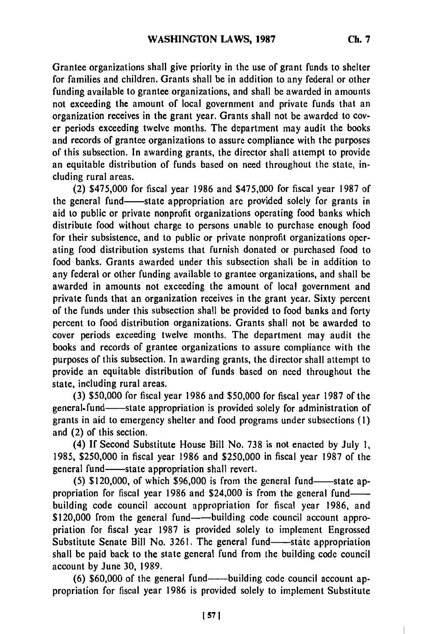Grantee organizations shall give priority in the use of grant funds to shelter for families and children. Grants shall be in addition to any federal or other funding available to grantee organizations, and shall be awarded in amounts not exceeding the amount of local government and private funds that an organization receives in the grant year. Grants shall not be awarded to cover periods exceeding twelve months. The department may audit the books and records of grantee organizations to assure compliance with the purposes of this subsection. In awarding grants, the director shall attempt to provide an equitable distribution of funds based on need throughout the state, including rural areas.

(2) \$475,000 for fiscal year **1986** and \$475,000 for fiscal year **1987** of the general fund-state appropriation are provided solely for grants in aid to public or private nonprofit organizations operating food banks which distribute food without charge to persons unable to purchase enough food for their subsistence, and to public or private nonprofit organizations operating food distribution systems that furnish donated or purchased food to food banks. Grants awarded under this subsection shall be in addition to any federal or other funding available to grantee organizations, and shall be awarded in amounts not exceeding the amount of local government and private funds that an organization receives in the grant year. Sixty percent of the funds under this subsection shall be provided to food banks and forty percent to food distribution organizations. Grants shall not be awarded to cover periods exceeding twelve months. The department may audit the books and records of grantee organizations to assure compliance with the purposes of this subsection. In awarding grants, the director shall attempt to provide an equitable distribution of funds based on need throughout the state, including rural areas.

**(3) \$50,000** for fiscal year **1986** and **\$50,000** for fiscal year **1987** of the general-fund-state appropriation is provided solely for administration of grants in aid to emergency shelter and food programs under subsections **(1)** and (2) of this section.

(4) **If** Second Substitute House Bill No. **738** is not enacted **by** July **1, 1985, \$250,000** in fiscal year **1986** and **\$250,000** in fiscal year **1987** of the general fund—state appropriation shall revert.

 $(5)$  \$120,000, of which \$96,000 is from the general fund-state appropriation for fiscal year **1986** and \$24,000 is from the general fundbuilding code council account appropriation for fiscal year **1986,** and \$120,000 from the general fund—building code council account appropriation for fiscal year **1987** is provided solely to implement Engrossed Substitute Senate Bill No. 3261. The general fund-state appropriation shall be paid back to the state general fund from the building code council account **by** June **30, 1989.**

(6) \$60,000 of the general fund----building code council account appropriation for fiscal year **1986** is provided solely to implement Substitute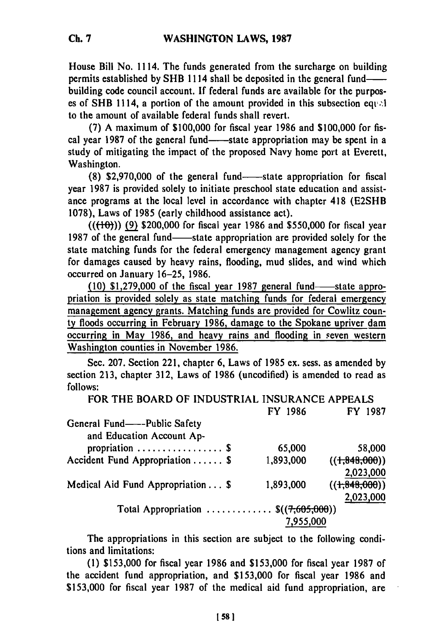House Bill No. **1114.** The funds generated from the surcharge on building permits established **by** SHB **1114** shall be deposited in the general fundbuilding code council account. **If** federal funds are available for the purposes of SHB **1114,** a portion of the amount provided in this subsection eqi; **.!** to the amount of available federal funds shall revert.

**(7) A** maximum of **\$100,000** for fiscal year **1986** and **\$100,000** for fiscal year 1987 of the general fund--state appropriation may be spent in a study of mitigating the impact of the proposed Navy home port at Everett, Washington.

**(8) \$2,970,000 of the general fund—state appropriation for fiscal** year **1987** is provided solely to initiate preschool state education and assistance programs at the local level in accordance with chapter 418 **(E2SHB 1078),** Laws of **1985** (early childhood assistance act).

**(((-"0)) (9)** \$200,000 for fiscal year **1986** and **\$550,000** for fiscal year 1987 of the general fund—state appropriation are provided solely for the state matching funds for the federal emergency management agency grant for damages caused **by** heavy rains, flooding, mud slides, and wind which occurred on January **16-25, 1986.**

**(10) \$1,279,000 of the fiscal year 1987 general fund-state appro**priation is provided solely as state matching funds for federal emergency management agency grants. Matching funds are provided for Cowlitz county floods occurring in February **1986,** damage to the Spokane upriver dam occurring in May **1986,** and heavy rains and flooding in seven western Washington counties in November **1986.**

Sec. **207.** Section 221, chapter **6,** Laws of **1985** ex. sess. as amended **by** section **213,** chapter **312,** Laws of **1986** (uncodified) is amended to read as **follows:**

| FOR THE BOARD OF INDUSTRIAL INSURANCE APPEALS |           |                |
|-----------------------------------------------|-----------|----------------|
|                                               | FY 1986   | FY 1987        |
| General Fund——-Public Safety                  |           |                |
| and Education Account Ap-                     |           |                |
| propriation $\ldots \ldots \ldots \ldots$ \$  | 65,000    | 58,000         |
| Accident Fund Appropriation \$                | 1,893,000 | $((+348,000))$ |
|                                               |           | 2,023,000      |
| Medical Aid Fund Appropriation \$             | 1,893,000 | $((+848,000))$ |
|                                               |           | 2,023,000      |
| Total Appropriation $\$(\{7,605,000\})$       |           |                |
|                                               | 7,955,000 |                |

The appropriations in this section are subject to the following conditions and limitations:

**(1) \$153,000** for fiscal year **1986** and **\$153,000** for fiscal year **1987** of the accident fund appropriation, and **\$153,000** for fiscal year **1986** and **\$153,000** for fiscal year **1987** of the medical aid fund appropriation, are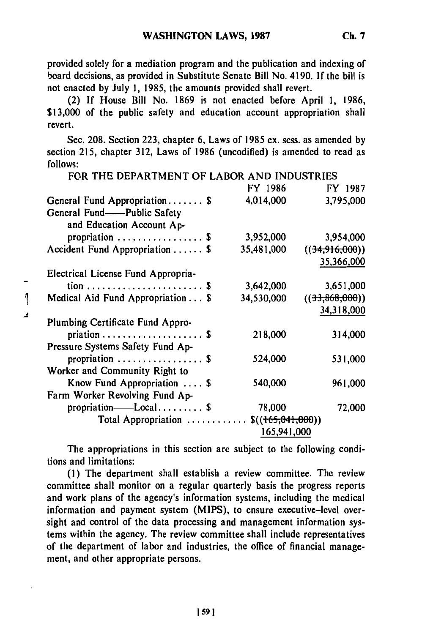provided solely for a mediation program and the publication and indexing of board decisions, as provided in Substitute Senate Bill No. 4190. If the bill is not enacted **by** July **1, 1985,** the amounts provided shall revert.

(2) **If** House Bill No. **1869** is not enacted before April **1, 1986, \$13,000** of the public safety and education account appropriation shall revert.

Sec. **208.** Section **223,** chapter **6,** Laws of **1985** ex. sess. as amended **by** section **215,** chapter **312,** Laws of **1986** (uncodified) is amended to read as **follows:** FOR THE DEPARTMENT OF LABOR **AND** INDUSTRIES

| FOR THE DEPARTMENT OF LABOR AND INDUSTRIES     |                  |                |
|------------------------------------------------|------------------|----------------|
|                                                | FY 1986          | FY 1987        |
| General Fund Appropriation $\$$                | 4,014,000        | 3,795,000      |
| General Fund--Public Safety                    |                  |                |
| and Education Account Ap-                      |                  |                |
| propriation $\ldots \ldots \ldots \ldots$ . \$ | 3,952,000        | 3,954,000      |
| Accident Fund Appropriation  \$                | 35,481,000       | ((34,916,000)) |
|                                                |                  | 35,366,000     |
| Electrical License Fund Appropria-             |                  |                |
|                                                | 3,642,000        | 3,651,000      |
| Medical Aid Fund Appropriation \$              | 34,530,000       | ((33,868,000)) |
|                                                |                  | 34,318,000     |
| Plumbing Certificate Fund Appro-               |                  |                |
|                                                | 218,000          | 314,000        |
| Pressure Systems Safety Fund Ap-               |                  |                |
| propriation $\cdots$ \$                        | 524,000          | 531,000        |
| Worker and Community Right to                  |                  |                |
| Know Fund Appropriation $\ldots$ \$            | 540,000          | 961,000        |
| Farm Worker Revolving Fund Ap-                 |                  |                |
| propriation——Local \$                          | 78,000           | 72,000         |
| Total Appropriation                            | \$(165,041,000)) |                |
|                                                | 165,941,000      |                |

The appropriations in this section are subject to the following conditions and limitations:

**(1)** The department shall establish a review committee. The review committee shall monitor on a regular quarterly basis the progress reports and work plans of the agency's information systems, including the medical information and payment system (MIPS), to ensure executive-level oversight and control of the data processing and management information systems within the agency. The review committee shall include representatives of the department of labor and industries, the office of financial management, and other appropriate persons.

*159 1*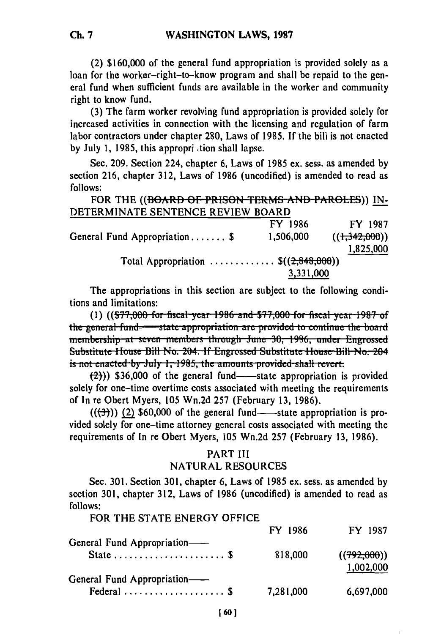(2) \$160,000 of the general fund appropriation is provided solely as a loan for the worker-right-to-know program and shall be repaid to the general fund when sufficient funds are available in the worker and community right to know fund.

(3) The farm worker revolving fund appropriation is provided solely for increased activities in connection with the licensing and regulation of farm labor contractors under chapter 280, Laws of 1985. If the bill is not enacted by July 1, 1985, this appropri tion shall lapse.

Sec. 209. Section 224, chapter 6, Laws of 1985 ex. sess. as amended by section 216, chapter 312, Laws of 1986 (uncodified) is amended to read as follows:

FOR THE ((BOARD **OF** PRISON TERMS AND PAROLES)) **IN-**DETERMINATE SENTENCE REVIEW BOARD

|                                                 | FY 1986   | FY 1987        |
|-------------------------------------------------|-----------|----------------|
| General Fund Appropriation \$                   | 1,506,000 | $((+342,000))$ |
|                                                 |           | 1,825,000      |
| Total Appropriation $\mathfrak{S}((2,848,000))$ |           |                |
|                                                 | 3,331,000 |                |

The appropriations in this section are subject to the following conditions and limitations:

(1) (( $\frac{$77,000}{10}$  for fiscal year 1986 and  $\frac{$77,000}{10}$  for fiscal year 1987 of the general fund—state appropriation are provided to continue the board membership at seven members through June 30, 1986, under Engrossed Substitute House Bill No. 204. If Engrossed Substitute House Bill No. 204 is not enacted by July 1, 1985, the amounts provided shall revert.

 $(2)$ )) \$36,000 of the general fund--state appropriation is provided solely for one-time overtime costs associated with meeting the requirements of In re Obert Myers, 105 Wn.2d 257 (February 13, 1986).

 $((\leftarrow{(\rightarrow)})$  (2) \$60,000 of the general fund--state appropriation is provided solely for one-time attorney general costs associated with meeting the requirements of In re Obert Myers, 105 Wn.2d 257 (February 13, 1986).

# PART III NATURAL RESOURCES

Sec. 301. Section 301, chapter 6, Laws of 1985 ex. sess. as amended by section 301, chapter 312, Laws of 1986 (uncodified) is amended to read as follows:

FOR THE **STATE** ENERGY **OFFICE**

| General Fund Appropriation-                | FY 1986   | FY 1987                  |
|--------------------------------------------|-----------|--------------------------|
| State $S$                                  | 818,000   | ((792,000))<br>1,002,000 |
| General Fund Appropriation-<br>Federal  \$ | 7,281,000 | 6,697,000                |

**Ch. 7**

**1601**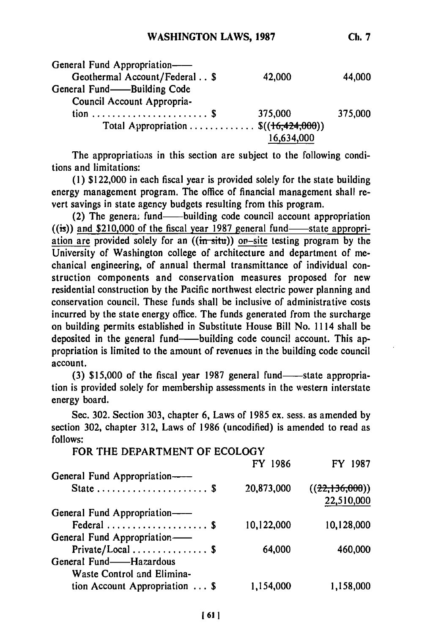| General Fund Appropriation-                     |            |         |
|-------------------------------------------------|------------|---------|
| Geothermal Account/Federal \$                   | 42,000     | 44,000  |
| General Fund-Building Code                      |            |         |
| Council Account Appropria-                      |            |         |
|                                                 | 375,000    | 375,000 |
| Total Appropriation $\mathcal{S}((16,424,000))$ |            |         |
|                                                 | 16,634,000 |         |

The appropriations in this section are subject to the following conditions and limitations:

**(1)** \$122,000 in each fiscal year is provided solely for the state building energy management program. The office of financial management shall revert savings in state agency budgets resulting from this program.

(2) The genera. fund—building code council account appropriation ((is)) and \$210,000 of the fiscal year 1987 general fund-state appropriation are provided solely for an ((in-siti)) **on-site** testing program **by** the University of Washington college of architecture and department of mechanical engineering, of annual thermal transmittance of individual construction components and conservation measures proposed for new residential construction **by** the Pacific northwest electric power planning and conservation council. These funds shall be inclusive of administrative costs incurred **by** the state energy office. The funds generated from the surcharge on building permits established in Substitute House Bill No. **1114** shall be deposited in the general fund—building code council account. This appropriation is limited to the amount of revenues in the building code council account.

**(3) \$15,000 of the fiscal year 1987 general fund--state appropria**tion is provided solely for membership assessments in the western interstate energy board.

Sec. **302.** Section **303,** chapter **6,** Laws of **1985** ex. sess. as amended **by** section **302,** chapter **312,** Laws of **1986** (uncodified) is amended to read as **follows:** FOR THE DEPARTMENT OF **ECOLOGY**

| <u>FUR THE DEPARTMENT OF ECOLOGI</u> |                              |
|--------------------------------------|------------------------------|
| FY 1986                              | FY 1987                      |
|                                      |                              |
| 20,873,000                           | ((22,136,000))<br>22,510,000 |
|                                      |                              |
| 10,122,000                           | 10,128,000                   |
|                                      |                              |
| 64,000                               | 460,000                      |
|                                      |                              |
|                                      |                              |
| 1,154,000                            | 1,158,000                    |
|                                      |                              |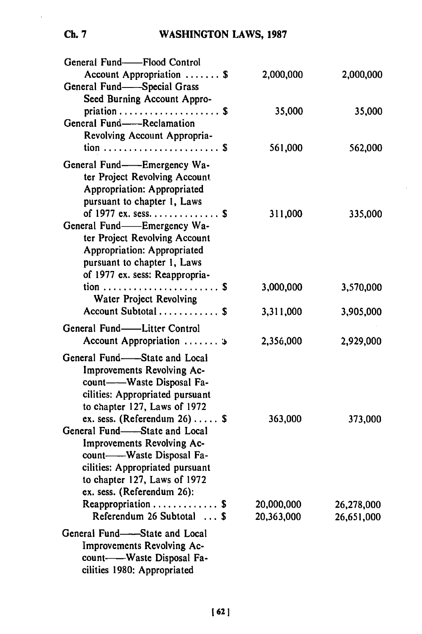# **WASHINGTON** LAWS, **1987**

| General Fund--Flood Control<br>Account Appropriation  \$<br>General Fund-Special Grass                                                                                                                                      | 2,000,000                | 2,000,000                |
|-----------------------------------------------------------------------------------------------------------------------------------------------------------------------------------------------------------------------------|--------------------------|--------------------------|
| Seed Burning Account Appro-<br>priation $\ldots \ldots \ldots \ldots \ldots$<br>General Fund-Reclamation<br>Revolving Account Appropria-                                                                                    | 35,000                   | 35,000                   |
| tion  \$<br>General Fund——Emergency Wa-<br>ter Project Revolving Account<br><b>Appropriation: Appropriated</b><br>pursuant to chapter 1, Laws                                                                               | 561,000                  | 562,000                  |
| of 1977 ex. sess. \$<br>General Fund-Emergency Wa-<br>ter Project Revolving Account<br><b>Appropriation: Appropriated</b><br>pursuant to chapter 1, Laws<br>of 1977 ex. sess: Reappropria-                                  | 311,000                  | 335,000                  |
| Water Project Revolving                                                                                                                                                                                                     | 3,000,000                | 3,570,000                |
| Account Subtotal  \$                                                                                                                                                                                                        | 3,311,000                | 3,905,000                |
| General Fund-Litter Control<br>Account Appropriation  »                                                                                                                                                                     | 2,356,000                | 2,929,000                |
| General Fund-<br>-State and Local<br>Improvements Revolving Ac-<br>count----Waste Disposal Fa-<br>cilities: Appropriated pursuant<br>to chapter 127, Laws of 1972                                                           |                          |                          |
| ex. sess. (Referendum $26$ ) \$<br>General Fund-State and Local<br>Improvements Revolving Ac-<br>count--Vaste Disposal Fa-<br>cilities: Appropriated pursuant<br>to chapter 127, Laws of 1972<br>ex. sess. (Referendum 26): | 363,000                  | 373,000                  |
| Reappropriation $\ldots \ldots \ldots$ \$<br>Referendum 26 Subtotal  \$                                                                                                                                                     | 20,000,000<br>20,363,000 | 26,278,000<br>26,651,000 |
| General Fund-State and Local<br>Improvements Revolving Ac-<br>count----Waste Disposal Fa-<br>cilities 1980: Appropriated                                                                                                    |                          |                          |

# *Ch.* **7**

 $\hat{\mathbf{v}}$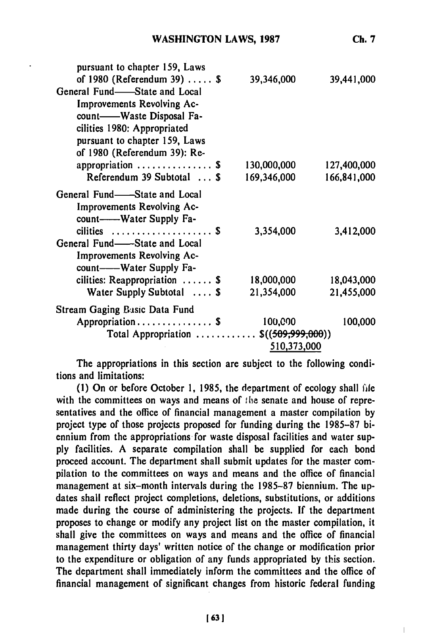| pursuant to chapter 159, Laws                                 |             |             |
|---------------------------------------------------------------|-------------|-------------|
| of $1980$ (Referendum 39)  \$<br>General Fund—State and Local | 39,346,000  | 39,441,000  |
| <b>Improvements Revolving Ac-</b>                             |             |             |
| count-Waste Disposal Fa-                                      |             |             |
| cilities 1980: Appropriated                                   |             |             |
| pursuant to chapter 159, Laws                                 |             |             |
| of 1980 (Referendum 39): Re-                                  |             |             |
| appropriation $\ldots \ldots \ldots \ldots$ \$                | 130,000,000 | 127,400,000 |
| Referendum 39 Subtotal  \$                                    | 169,346,000 | 166,841,000 |
| General Fund-State and Local                                  |             |             |
| Improvements Revolving Ac-                                    |             |             |
| count------Water Supply Fa-                                   |             |             |
| cilities  \$                                                  | 3,354,000   | 3,412,000   |
| General Fund—State and Local                                  |             |             |
| Improvements Revolving Ac-                                    |             |             |
| count---Water Supply Fa-                                      |             |             |
| cilities: Reappropriation $\ldots$ .                          | 18,000,000  | 18,043,000  |
| Water Supply Subtotal  \$                                     | 21,354,000  | 21,455,000  |
| <b>Stream Gaging Basic Data Fund</b>                          |             |             |
| Appropriation \$                                              | 100,000     | 100,000     |
| Total Appropriation $\$((509,999,000))$                       |             |             |
|                                                               | 510,373,000 |             |

The appropriations in this section are subject to the following conditions and limitations:

**(1)** On or before October **1, 1985,** the department of ecology shall file with the committees on ways and means of the senate and house of representatives and the office of financial management a master compilation **by** project type of those projects proposed for funding during the **1985-87** biennium from the appropriations for waste disposal facilities and water sup**ply** facilities. A separate compilation shall be supplied for each bond proceed account. The department shall submit updates for the master compilation to the committees on ways and means and the office of financial management at six-month intervals during the **1985-87** biennium. The updates shall reflect project completions, deletions, substitutions, or additions made during the course of administering the projects. If the department proposes to change or modify any project list on the master compilation, it shall give the committees on ways and means and the office of financial management thirty days' written notice of the change or modification prior to the expenditure or obligation of any funds appropriated **by** this section. The department shall immediately inform the committees and the office of financial management of significant changes from historic federal funding

**Ch. 7**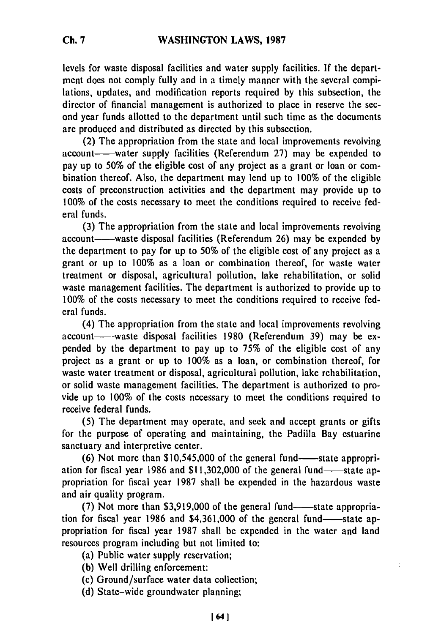levels for waste disposal facilities and water supply facilities. **If** the department does not comply fully and in a timely manner with the several compilations, updates, and modification reports required by this subsection, the director of financial management is authorized to place in reserve the second year funds allotted to the department until such time as the documents are produced and distributed as directed by this subsection.

(2) The appropriation from the state and local improvements revolving account-water supply facilities (Referendum 27) may be expended to pay up to 50% of the eligible cost of any project as a grant or loan or combination thereof. Also, the department may lend up to 100% of the eligible costs of preconstruction activities and the department may provide up to 100% of the costs necessary to meet the conditions required to receive federal funds.

(3) The appropriation from the state and local improvements revolving account-waste disposal facilities (Referendum 26) may be expended by the department to pay for up to 50% of the eligible cost of any project as a grant or up to 100% as a loan or combination thereof, for waste water treatment or disposal, agricultural pollution, lake rehabilitation, or solid waste management facilities. The department is authorized to provide up to 100% of the costs necessary to meet the conditions required to receive federal funds.

(4) The appropriation from the state and local improvements revolving account----waste disposal facilities 1980 (Referendum 39) may be expended by the department to pay up to 75% of the eligible cost of any project as a grant or up to 100% as a loan, or combination thereof, for waste water treatment or disposal, agricultural pollution, lake rehabilitation, or solid waste management facilities. The department is authorized to provide up to 100% of the costs necessary to meet the conditions required to receive federal funds.

(5) The department may operate, and seek and accept grants or gifts for the purpose of operating and maintaining, the Padilla Bay estuarine sanctuary and interpretive center.

 $(6)$  Not more than \$10,545,000 of the general fund-state appropriation for fiscal year 1986 and  $$11,302,000$  of the general fund-state appropriation for fiscal year 1987 shall be expended in the hazardous waste and air quality program.

(7) Not more than  $$3,919,000$  of the general fund-state appropriation for fiscal year 1986 and  $$4,361,000$  of the general fund-state appropriation for fiscal year 1987 shall be expended in the water and land resources program including but not limited to:

- (a) Public water supply reservation;
- (b) Well drilling enforcement:
- (c) Ground/surface water data collection;
- (d) State-wide groundwater planning;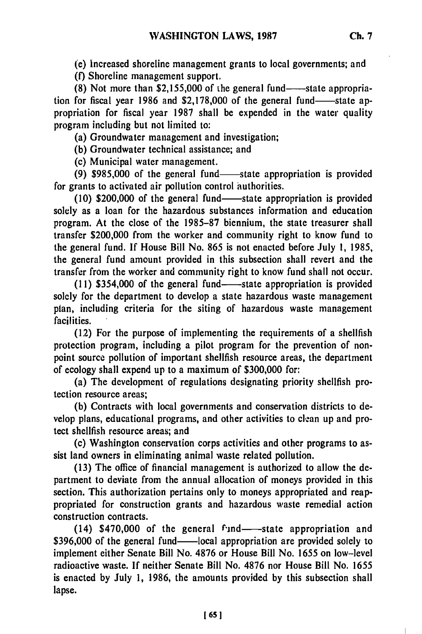(e) Increased shoreline management grants to local governments; and

(f) Shoreline management support.

(8) Not more than \$2,155,000 of the general fund-state appropriation for fiscal year 1986 and  $$2,178,000$  of the general fund-state appropriation for fiscal year 1987 shall be expended in the water quality program including but not limited to:

(a) Groundwater management and investigation;

**(b)** Groundwater technical assistance; and

(c) Municipal water management.

(9) \$985,000 of the general fund—state appropriation is provided for grants to activated air pollution control authorities.

(10) \$200,000 of the general fund—state appropriation is provided solely as a loan for the hazardous substances information and education program. At the close of the 1985-87 biennium, the state treasurer shall transfer \$200,000 from the worker and community right to know fund to the general fund. If House Bill No. 865 is not enacted before July 1, 1985, the general fund amount provided in this subsection shall revert and the transfer from the worker and community right to know fund shall not occur.

**(11)** \$354,000 of the general fund-state appropriation is provided solely for the department to develop a state hazardous waste management plan, including criteria for the siting of hazardous waste management facilities.

(12) For the purpose of implementing the requirements of a shellfish protection program, including a pilot program for the prevention of nonpoint source pollution of important shellfish resource areas, the department of ecology shall expend up to a maximum of \$300,000 for:

(a) The development of regulations designating priority shellfish protection resource areas;

**(b)** Contracts with local governments and conservation districts to develop plans, educational programs, and other activities to clean up and protect shellfish resource areas; and

(c) Washington conservation corps activities and other programs to assist land owners in eliminating animal waste related pollution.

(13) The office of financial management is authorized to allow the department to deviate from the annual allocation of moneys provided in this section. This authorization pertains only to moneys appropriated and reappropriated for construction grants and hazardous waste remedial action construction contracts.

(14)  $$470,000$  of the general fund-state appropriation and \$396,000 of the general fund-local appropriation are provided solely to implement either Senate Bill No. 4876 or House Bill No. 1655 on low-level radioactive waste. If neither Senate Bill No. **4876** nor House Bill No. 1655 is enacted by July **1,** 1986, the amounts provided **by** this subsection shall lapse.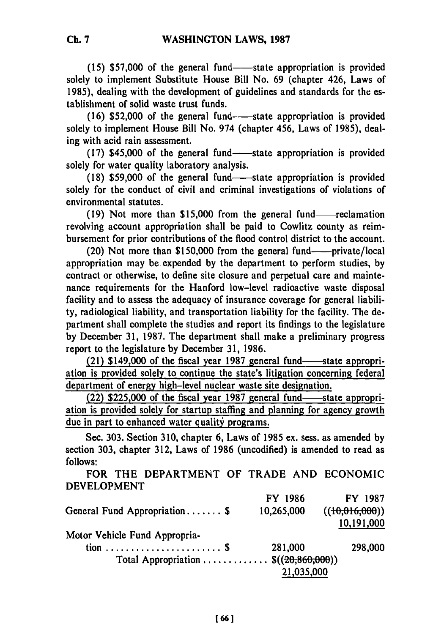(15) \$57,000 of the general fund—state appropriation is provided solely to implement Substitute House Bill No. **69** (chapter 426, Laws of **1985),** dealing with the development of guidelines and standards for the establishment of solid waste trust funds.

**(16) \$52,000** of the general fund---state appropriation is provided solely to implement House Bill No. 974 (chapter 456, Laws of **1985),** dealing with acid rain assessment.

(17) \$45,000 of the general fund—state appropriation is provided solely for water quality laboratory analysis.

**(18) \$59,000** of the general fund-state appropriation is provided solely for the conduct of civil and criminal investigations of violations of environmental statutes.

**(19)** Not more than **\$15,000** from the general fund-reclamation revolving account appropriation shall be paid to Cowlitz county as reimbursement for prior contributions of the flood control district to the account.

(20) Not more than \$150,000 from the general fund-----private/local appropriation may be expended **by** the department to perform studies, **by** contract or otherwise, to define site closure and perpetual care and maintenance requirements for the Hanford low-level radioactive waste disposal facility and to assess the adequacy of insurance coverage for general liability, radiological liability, and transportation liability for the facility. The department shall complete the studies and report its findings to the legislature **by** December **31, 1987.** The department shall make a preliminary progress report to the legislature **by** December **31, 1986.**

(21) \$149,000 of the fiscal year 1987 general fund-state appropriation is provided solely to continue the state's litigation concerning federal department of energy high-level nuclear waste site designation.

(22) \$225,000 of the fiscal year 1987 general fund-state appropriation is provided solely for startup staffing and planning for agency growth due in part to enhanced water quality programs.

Sec. **303.** Section **310,** chapter **6,** Laws of **1985** ex. sess. as amended **by** section **303,** chapter **312,** Laws of **1986** (uncodified) is amended to read as **follows:**

FOR THE DEPARTMENT OF TRADE **AND ECONOMIC DEVELOPMENT**

| FY 1986                                 | FY 1987        |
|-----------------------------------------|----------------|
| 10,265,000                              | ((10,016,000)) |
|                                         | 10,191,000     |
|                                         |                |
| 281,000                                 | 298,000        |
| Total Appropriation $\Im((20,860,000))$ |                |
| 21,035,000                              |                |
|                                         |                |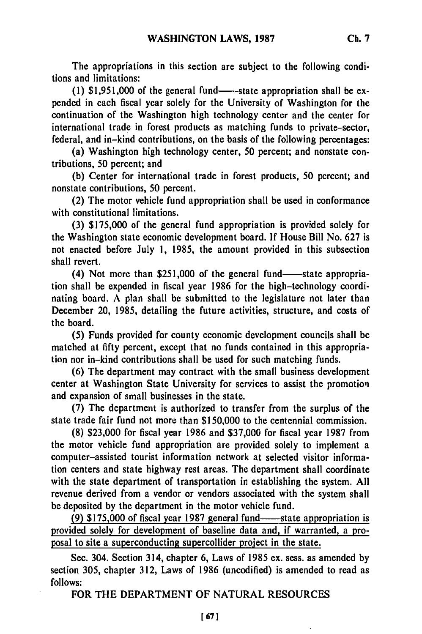The appropriations in this section are subject to the following conditions and limitations:

(1)  $$1,951,000$  of the general fund--state appropriation shall be expended in each fiscal year solely for the University of Washington for the continuation of the Washington high technology center and the center for international trade in forest products as matching funds to private-sector, federal, and in-kind contributions, on the basis of the following percentages:

(a) Washington high technology center, 50 percent; and nonstate contributions, 50 percent; and

(b) Center for international trade in forest products, 50 percent; and nonstate contributions, 50 percent.

(2) The motor vehicle fund appropriation shall be used in conformance with constitutional limitations.

(3) \$175,000 of the general fund appropriation is provided solely for the Washington state economic development board. If House Bill No. 627 is not enacted before July 1, 1985, the amount provided in this subsection shall revert.

 $(4)$  Not more than \$251,000 of the general fund-state appropriation shall be expended in fiscal year 1986 for the high-technology coordinating board. A plan shall be submitted to the legislature not later than December 20, 1985, detailing the future activities, structure, and costs of the board.

(5) Funds provided for county economic development councils shall be matched at **fifty** percent, except that no funds contained in this appropriation nor in-kind contributions shall be used for such matching funds.

(6) The department may contract with the small business development center at Washington State University for services to assist the promotion and expansion of small businesses in the state.

(7) The department is authorized to transfer from the surplus of the state trade fair fund not more than \$150,000 to the centennial commission.

(8) \$23,000 for fiscal year 1986 and \$37,000 for fiscal year 1987 from the motor vehicle fund appropriation are provided solely to implement a computer-assisted tourist information network at selected visitor information centers and state highway rest areas. The department shall coordinate with the state department of transportation in establishing the system. All revenue derived from a vendor or vendors associated with the system shall be deposited by the department in the motor vehicle fund.

(9) \$175,000 of fiscal year 1987 general fund----state appropriation is provided solely for development of baseline data and, if warranted, a proposal to site a superconducting supercollider project in the state.

Sec. 304. Section 314, chapter 6, Laws of 1985 ex. sess. as amended by section 305, chapter 312, Laws of 1986 (uncodified) is amended to read as follows:

FOR THE DEPARTMENT OF NATURAL RESOURCES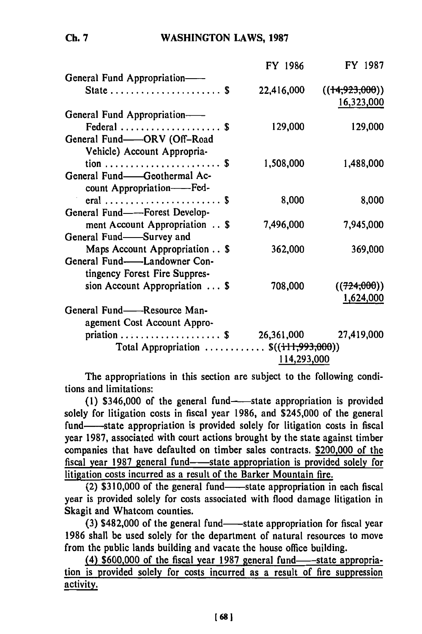# WASHINGTON LAWS, **1987**

|                                                               | FY 1986     | FY 1987                        |
|---------------------------------------------------------------|-------------|--------------------------------|
| General Fund Appropriation-                                   |             |                                |
|                                                               | 22,416,000  | ((14, 923, 000))<br>16,323,000 |
| General Fund Appropriation-                                   |             |                                |
| Federal  \$                                                   | 129,000     | 129,000                        |
| General Fund-ORV (Off-Road                                    |             |                                |
| Vehicle) Account Appropria-                                   |             |                                |
| $\text{tion} \dots \dots \dots \dots \dots \dots \dots \dots$ | 1,508,000   | 1,488,000                      |
| General Fund-Geothermal Ac-                                   |             |                                |
| count Appropriation--Fed-                                     |             |                                |
| eral  \$                                                      | 8,000       | 8,000                          |
| General Fund--Forest Develop-                                 |             |                                |
| ment Account Appropriation \$                                 | 7,496,000   | 7,945,000                      |
| General Fund-Survey and                                       |             |                                |
| Maps Account Appropriation \$                                 | 362,000     | 369,000                        |
| General Fund-<br>-Landowner Con-                              |             |                                |
| tingency Forest Fire Suppres-                                 |             |                                |
| sion Account Appropriation $\ldots$ \$                        | 708,000     | ((724,000))                    |
|                                                               |             | 1,624,000                      |
| General Fund——Resource Man-                                   |             |                                |
| agement Cost Account Appro-                                   |             |                                |
| priation \$ 26,361,000                                        |             | 27,419,000                     |
| Total Appropriation $\$((+11,993,000))$                       |             |                                |
|                                                               | 114,293,000 |                                |
|                                                               |             |                                |

The appropriations in this section are subject to the following conditions and limitations:

 $(1)$  \$346,000 of the general fund-state appropriation is provided solely for litigation costs in fiscal year 1986, and \$245,000 of the general fund—state appropriation is provided solely for litigation costs in fiscal year 1987, associated with court actions brought by the state against timber companies that have defaulted on timber sales contracts. \$200,000 of the fiscal year 1987 general fund-state appropriation is provided solely for litigation costs incurred as a result of the Barker Mountain fire.

 $(2)$  \$310,000 of the general fund—state appropriation in each fiscal year is provided solely for costs associated with flood damage litigation in Skagit and Whatcom counties.

 $(3)$  \$482,000 of the general fund- $-$ state appropriation for fiscal year 1986 shall be used solely for the department of natural resources to move from the public lands building and vacate the house office building.

 $(4)$  \$600,000 of the fiscal year 1987 general fund-state appropriation is provided solely for costs incurred as a result of fire suppression activity.

**Ch. 7**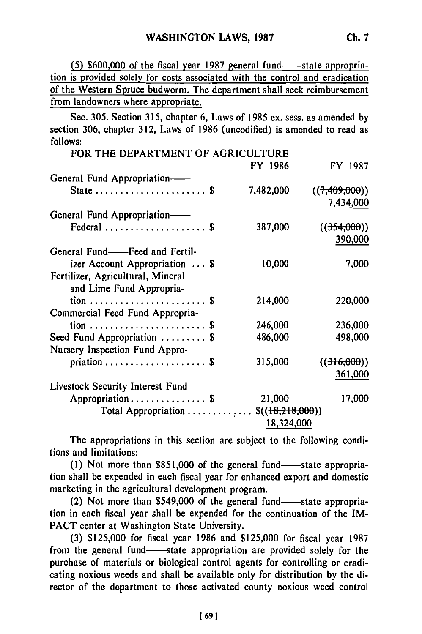$(5)$  \$600,000 of the fiscal year 1987 general fund-state appropriation is provided solely for costs associated with the control and eradication of the Western Spruce budworm. The department shall seek reimbursement from landowners where appropriate.

Sec. 305. Section 315, chapter 6, Laws of 1985 ex. sess. as amended by section 306, chapter 312, Laws of 1986 (uncodified) is amended to read as follows:

| FOR THE DEPARTMENT OF AGRICULTURE                             |            |                            |
|---------------------------------------------------------------|------------|----------------------------|
|                                                               | FY 1986    | FY 1987                    |
| General Fund Appropriation-                                   |            |                            |
| State  \$                                                     | 7,482,000  | ((7,409,000))<br>7,434,000 |
| General Fund Appropriation-                                   |            |                            |
| Federal  \$                                                   | 387,000    | ((354,000))<br>390,000     |
| General Fund——Feed and Fertil-                                |            |                            |
| izer Account Appropriation $\ldots$ \$                        | 10,000     | 7,000                      |
| Fertilizer, Agricultural, Mineral<br>and Lime Fund Appropria- |            |                            |
| $\text{tion} \dots \dots \dots \dots \dots \dots \dots \dots$ | 214,000    | 220,000                    |
| Commercial Feed Fund Appropria-                               |            |                            |
| tion  \$                                                      | 246,000    | 236,000                    |
| Seed Fund Appropriation  \$                                   | 486,000    | 498,000                    |
| Nursery Inspection Fund Appro-                                |            |                            |
|                                                               | 315,000    | ((316,000))                |
|                                                               |            | 361,000                    |
| Livestock Security Interest Fund                              |            |                            |
| Appropriation \$                                              | 21,000     | 17,000                     |
| Total Appropriation $\$(18,218,000))$                         |            |                            |
|                                                               | 18,324,000 |                            |

The appropriations in this section are subject to the following conditions and limitations:

(1) Not more than  $$851,000$  of the general fund-----state appropriation shall be expended in each fiscal year for enhanced export and domestic marketing in the agricultural development program.

 $(2)$  Not more than \$549,000 of the general fund—state appropriation in each fiscal year shall be expended for the continuation of the IM-PACT center at Washington State University.

(3) \$125,000 for fiscal year 1986 and \$125,000 for fiscal year 1987 from the general fund-state appropriation are provided solely for the purchase of materials or biological control agents for controlling or eradicating noxious weeds and shall be available only for distribution by the director of the department to those activated county noxious weed control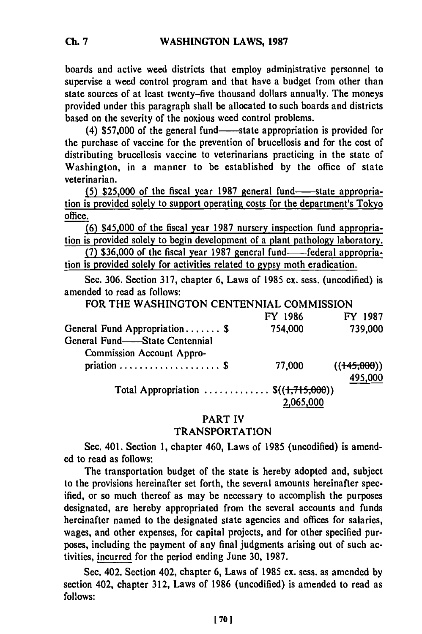boards and active weed districts that employ administrative personnel to supervise a weed control program and that have a budget from other than state sources of at least twenty-five thousand dollars annually. The moneys provided under this paragraph shall be allocated to such boards and districts based on the severity of the noxious weed control problems.

(4) \$57,000 of the general fund—state appropriation is provided for the purchase of vaccine for the prevention of brucellosis and for the cost of distributing brucellosis vaccine to veterinarians practicing in the state of Washington, in a manner to be established **by** the office of state veterinarian.

**(5) \$25,000 of the fiscal year 1987 general fund-state appropria**tion is provided solely to support operating costs for the department's Tokyo office.

**(6)** \$45,000 of the fiscal year **1987** nursery inspection fund appropriation is provided solely to begin development of a plant pathology laboratory.

**(7) \$36,000** of the fiscal year **1987** general fund-federal appropriation is provided solely for activities related to **gypsy** moth eradication.

Sec. **306.** Section **317,** chapter **6,** Laws of **1985** ex. sess. (uncodified) is amended to read as follows:

FOR THE WASHINGTON **CENTENNIAL COMMISSION**

|                                                | FY 1986 | FY 1987                |
|------------------------------------------------|---------|------------------------|
| General Fund Appropriation \$                  | 754,000 | 739,000                |
| General Fund-State Centennial                  |         |                        |
| Commission Account Appro-                      |         |                        |
|                                                | 77,000  | ((145,000))<br>495,000 |
| Total Appropriation $\mathcal{S}((1,715,000))$ |         |                        |

### PART IV

### TRANSPORTATION

Sec. 401. Section **1,** chapter 460, Laws of **1985** (uncodified) is amended to read as follows:

The transportation budget of the state is hereby adopted and, subject to the provisions hereinafter set forth, the several amounts hereinafter specified, or so much thereof as may **be** necessary to accomplish the purposes designated, are hereby appropriated from the several accounts and funds hereinafter named to the designated state agencies and offices for salaries, wages, and other expenses, for capital projects, and for other specified purposes, including the payment of any final judgments arising out of such activities, incurred for the period ending June **30, 1987.**

Sec. 402. Section 402, chapter **6,** Laws of **1985** ex. sess. as amended **by** section 402, chapter **312,** Laws of **1986** (uncodified) is amended to read as **follows:**

**Ch. 7**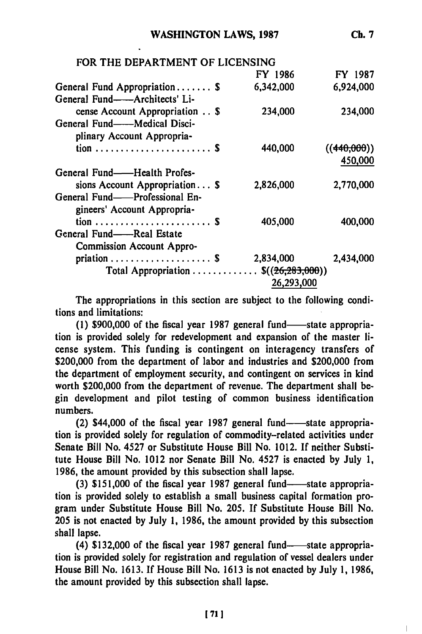**Ch. 7**

| FOR THE DEPARTMENT OF LICENSING                               |            |             |
|---------------------------------------------------------------|------------|-------------|
|                                                               | FY 1986    | FY 1987     |
| General Fund Appropriation \$                                 | 6,342,000  | 6,924,000   |
| General Fund——Architects' Li-                                 |            |             |
| cense Account Appropriation \$                                | 234,000    | 234,000     |
| General Fund——Medical Disci-                                  |            |             |
| plinary Account Appropria-                                    |            |             |
|                                                               | 440,000    | ((440,000)) |
|                                                               |            | 450,000     |
| General Fund——Health Profes-                                  |            |             |
| sions Account Appropriation $\$$                              | 2,826,000  | 2,770,000   |
| General Fund——Professional En-                                |            |             |
| gineers' Account Appropria-                                   |            |             |
| $\text{tion} \dots \dots \dots \dots \dots \dots \dots \dots$ | 405,000    | 400,000     |
| General Fund——Real Estate                                     |            |             |
| <b>Commission Account Appro-</b>                              |            |             |
|                                                               | 2,834,000  | 2,434,000   |
| Total Appropriation $\mathcal{S}((26,283,000))$               |            |             |
|                                                               | 26,293,000 |             |

The appropriations in this section are subject to the following conditions and limitations:

(1) \$900,000 of the fiscal year 1987 general fund—state appropriation is provided solely for redevelopment and expansion of the master license system. This funding is contingent on interagency transfers of \$200,000 from the department of labor and industries and \$200,000 from the department of employment security, and contingent on services in kind worth \$200,000 from the department of revenue. The department shall begin development and pilot testing of common business identification numbers.

 $(2)$  \$44,000 of the fiscal year 1987 general fund--state appropriation is provided solely for regulation of commodity-related activities under Senate Bill No. 4527 or Substitute House Bill No. 1012. **If** neither Substitute House Bill No. 1012 nor Senate Bill No. 4527 is enacted **by** July **1,** 1986, the amount provided **by** this subsection shall lapse.

(3) \$151,000 of the fiscal year 1987 general fund—state appropriation is provided solely to establish a small business capital formation program under Substitute House Bill No. **205. If** Substitute House Bill No. **205** is not enacted **by** July **1,** 1986, the amount provided **by** this subsection shall lapse.

(4) \$132,000 of the fiscal year 1987 general fund-state appropriation is provided solely for registration and regulation of vessel dealers under House Bill No. **1613. If** House Bill No. **1613** is not enacted **by** July **1, 1986,** the amount provided **by** this subsection shall lapse.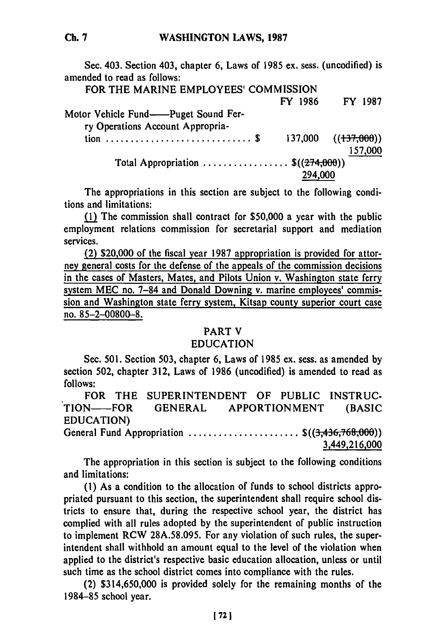Sec. 403. Section 403, chapter **6,** Laws of 1985 ex. sess. (uncodified) is amended to read as follows:

# FOR THE MARINE EMPLOYEES' COMMISSION

FY 1986 FY 1987

| Motor Vehicle Fund——Puget Sound Fer-<br>ry Operations Account Appropria- |         |                         |
|--------------------------------------------------------------------------|---------|-------------------------|
|                                                                          |         | $137,000$ $((137,000))$ |
|                                                                          |         | 157,000                 |
| Total Appropriation $\$(274,000))$                                       |         |                         |
|                                                                          | 294,000 |                         |

The appropriations in this section are subject to the following conditions and limitations:

(1) The commission shall contract for \$50,000 a year with the public employment relations commission for secretarial support and mediation services.

(2) \$20,000 of the fiscal year 1987 appropriation is provided for attorney general costs for the defense of the appeals of the commission decisions in the cases of Masters, Mates, and Pilots Union v. Washington state ferry system **MEC** no. 7-84 and Donald Downing v. marine employees' commission and Washington state ferry system, Kitsap county superior court case no. 85-2-00800--8.

### PART V

## EDUCATION

Sec. 501. Section 503, chapter 6, Laws of 1985 ex. sess. as amended by section 502, chapter 312, Laws of 1986 (uncodified) is amended to read as follows:

FOR THE **SUPERINTENDENT** OF **PUBLIC INSTRUC-**TION- FOR **GENERAL** APPORTIONMENT **(BASIC EDUCATION)** General Fund Appropriation ......................... \$((3,436,768,000)) 3,449,216,000

The appropriation in this section is subject to the following conditions and limitations:

(1) As a condition to the allocation of funds to school districts appropriated pursuant to this section, the superintendent shall require school districts to ensure that, during the respective school year, the district has complied with all rules adopted by the superintendent of public instruction to implement RCW 28A.58.095. For any violation of such rules, the superintendent shall withhold an amount equal to the level of the violation when applied to the district's respective basic education allocation, unless or until such time as the school district comes into compliance with the rules.

(2) \$314,650,000 is provided solely for the remaining months of the 1984-85 school year.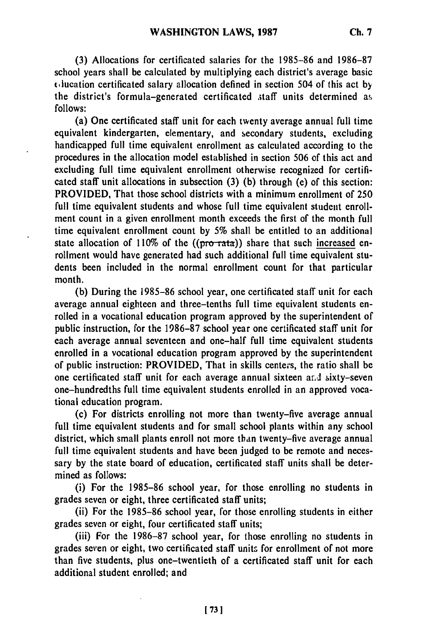**(3)** Allocations for certificated salaries for the **1985-86** and **1986-87** school years shall be calculated **by** multiplying each district's average basic c,lucation certificated salary allocation defined in section 504 of this act **by** the district's formula-generated certificated staff units determined as **follows:**

(a) One certificated staff unit for each twenty average annual full time equivalent kindergarten, elementary, and secondary students, excluding handicapped full time equivalent enrollment as calculated according to the procedures in the allocation model established in section **506** of this act and excluding full time equivalent enrollment otherwise recognized for certificated staff unit allocations in subsection **(3) (b)** through (e) of this section: PROVIDED, That those school districts with a minimum enrollment of **250** full time equivalent students and whose full time equivalent studeut enrollment count in a given enrollment month exceeds the first of the month full time equivalent enrollment count **by 5%** shall be entitled to an additional state allocation of 110% of the ((pro-rata)) share that such increased enrollment would have generated had such additional full time equivalent students been included in the normal enrollment count for that particular month.

**(b)** During the **1985-86** school year, one certificated staff unit for each average annual eighteen and three-tenths full time equivalent students enrolled in a vocational education program approved **by** the superintendent of public instruction, for the **1986-87** school year one certificated staff unit for each average annual seventeen and one-half full time equivalent students enrolled in a vocational education program approved **by** the superintendent of public instruction: PROVIDED, That in skills centers, the ratio shall be one certificated staff unit for each average annual sixteen and sixty-seven one-hundredths full time equivalent students enrolled in an approved vocational education program.

(c) For districts enrolling not more than twenty-five average annual full time equivalent students and for small school plants within any school district, which small plants enroll not more **than** twenty-five average annual full time equivalent students and have been judged to be remote and necessary **by** the state board of education, certificated staff units shall be determined as follows:

(i) For the **1985-86** school year, for those enrolling no students in grades seven or eight, three certificated staff units;

(ii) For the **1985-86** school year, for those enrolling students in either grades seven or eight, four certificated staff units;

(iii) For the **1986-87** school year, for those enrolling no students in grades seven or eight, two certificated staff units for enrollment of not more than five students, plus one-twentieth of a certificated staff unit for each additional student enrolled; and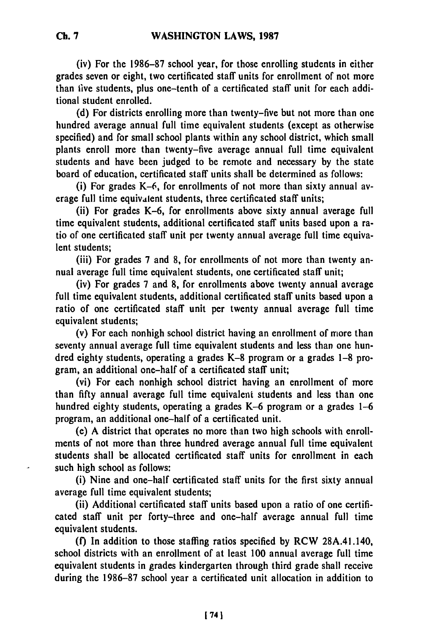(iv) For the **1986-87** school year, for those enrolling students in either grades seven or eight, two certificated **staff** units for enrollment of not more than live students, plus one-tenth of a certificated staff unit for each additional student enrolled.

**(d)** For districts enrolling more than twenty-five but not more than one hundred average annual full time equivalent students (except as otherwise specified) and for small school plants within any school district, which small plants enroll more than twenty-five average annual full time equivalent students and have been judged to be remote and necessary **by** the state board of education, certificated staff units shall be determined as follows:

(i) For grades K-6, for enrollments of not more than sixty annual average full time equivalent students, three certificated staff units;

(ii) For grades K-6, for enrollments above sixty annual average full time equivalent students, additional certificated staff units based upon a ratio of one certificated staff unit per twenty annual average full time equivalent students;

(iii) For grades **7** and **8,** for enrollments of not more than twenty annual average full time equivalent students, one certificated staff unit;

(iv) For grades **7** and **8,** for enrollments above twenty annual average full time equivalent students, additional certificated staff units based upon a ratio of one certificated staff unit per twenty annual average full time equivalent students;

(v) For each nonhigh school district having an enrollment of more than seventy annual average full time equivalent students and less than one hundred eighty students, operating a grades K-8 program or a grades **1-8** program, an additional one-half of a certificated staff unit;

(vi) For each nonhigh school district having an enrollment of more than **fifty** annual average full time equivalent students and less than one hundred eighty students, operating a grades K-6 program or a grades **1-6** program, an additional one-half of a certificated unit.

(e) **A** district that operates no more than two high schools with enrollments of not more than three hundred average annual full time equivalent students shall be allocated certificated staff units for enrollment in each such high school as follows:

(i) Nine and one-half certificated staff units for the first sixty annual average full time equivalent students;

(ii) Additional certificated staff units based upon a ratio of one certificated staff unit per forty-three and one-half average annual full time equivalent students.

**(f)** In addition to those staffing ratios specified **by** RCW 28A.41.140, school districts with an enrollment of at least **100** annual average full time equivalent students in grades kindergarten through third grade shall receive during the **1986-87** school year a certificated unit allocation in addition to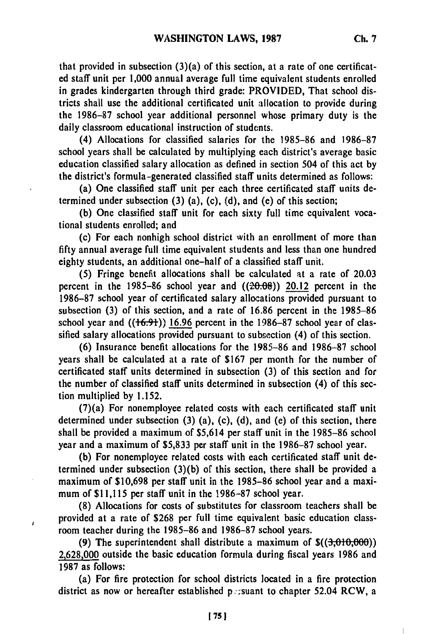that provided in subsection (3)(a) of this section, at a rate of one certificated staff unit per 1,000 annual average full time equivalent students enrolled in grades kindergarten through third grade: PROVIDED, That school districts shall use the additional certificated unit allocation to provide during the 1986-87 school year additional personnel whose primary duty is the daily classroom educational instruction of students.

(4) Allocations for classified salaries for the 1985-86 and 1986-87 school years shall be calculated by multiplying each district's average basic education classified salary allocation as defined in section 504 of this act by the district's formula-generated classified staff units determined as follows:

(a) One classified staff unit per each three certificated staff units determined under subsection (3) (a), (c), (d), and (e) of this section;

**(b)** One classified staff unit for each sixty full time equivalent vocational students enrolled; and

(c) For each nonhigh school district with an enrollment of more than **fifty** annual average full time equivalent students and less than one hundred eighty students, an additional one-half of a classified staff unit.

(5) Fringe benefit allocations shall be calculated at a rate of 20.03 percent in the 1985-86 school year and  $((20.08))$  20.12 percent in the 1986-87 school year of certificated salary allocations provided pursuant to subsection (3) of this section, and a rate of 16.86 percent in the 1985-86 school year and  $((16.91))$  16.96 percent in the 1986-87 school year of classified salary allocations provided pursuant to subsection (4) of this section.

(6) Insurance benefit allocations for the 1985-86 and 1986-87 school years shall be calculated at a rate of \$167 per month for the number of certificated staff units determined in subsection (3) of this section and for the number of classified staff units determined in subsection (4) of this section multiplied by 1.152.

(7)(a) For nonemployee related costs with each certificated staff unit determined under subsection (3) (a), (c), (d), and (e) of this section, there shall be provided a maximum of \$5,614 per staff unit in the 1985-86 school year and a maximum of \$5,833 per staff unit in the 1986-87 school year.

**(b)** For nonemployee related costs with each certificated staff unit determined under subsection (3)(b) of this section, there shall be provided a maximum of \$10,698 per staff unit in the 1985-86 school year and a maximum of \$11,115 per staff unit in the 1986-87 school year.

**(8)** Allocations for costs of substitutes for classroom teachers shall be provided at a rate of \$268 per full time equivalent basic education classroom teacher during the 1985-86 and 1986-87 school years.

 $\lambda$ 

(9) The superintendent shall distribute a maximum of **\$((3,010,06)) 2,628,000** outside the basic education formula during fiscal years 1986 and 1987 as follows:

(a) For fire protection for school districts located in a fire protection district as now or hereafter established ps. suant to chapter 52.04 RCW, a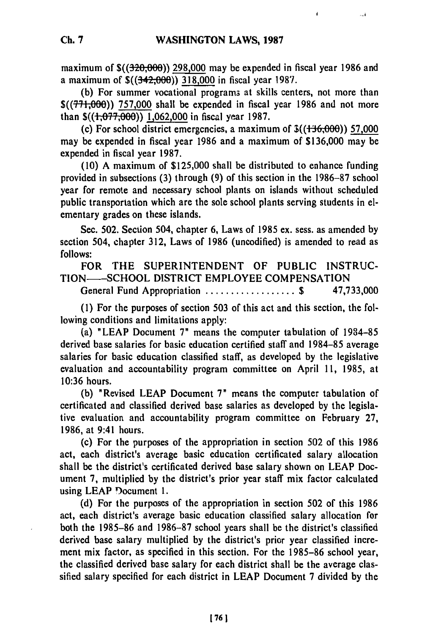maximum of **\$((3-20,00)) 298,000** may be expended in fiscal year **1986** and a maximum of \$((342,000)) **318,000** in fiscal year **198'7.**

**(b)** For summer vocational program3 at skills centers, not more than \$(( $771,000$ )) 757,000 shall be expended in fiscal year 1986 and not more than **\$((i7,O00)) 1,062,000** in fiscal year **1987.**

(c) For school district emergencies, a maximum of  $\frac{\mathcal{F}}{\mathcal{F}}$  ( $\frac{1 + 16,000}{1,000}$ ) 57,000 may be expended in fiscal year **1986** and a maximum of **\$136,000** may be expended in fiscal year **1987.**

**(10) A** maximum of **\$125,000** shall be distributed to enhance funding provided in subsections **(3)** through **(9)** of this section in the **1986-87** school year for remote and necessary school plants on islands without scheduled public transportation which are the sole school plants serving students in elementary grades on these islands.

Sec. **502.** Section 504, chapter **6,** Laws of **1985** ex. sess. as amended **by** section 504, chapter **312,** Laws of **1986** (uncodified) is amended to read as **follows:**

FOR THE **SUPERINTENDENT** OF **PUBLIC INSTRUC-TION--SCHOOL** DISTRICT EMPLOYEE **COMPENSATION** General Fund Appropriation **.................. \$ 47,733,000**

**(1)** For the purposes of section **503** of this act and this section, the following conditions and limitations apply:

(a) **"LEAP** Document **7"** means the computer tabulation of **1934-85** derived base salaries for basic education certified staff and **1984-85** average salaries for basic education classified staff, as developed **by** the legislative evaluation and accountability program committee on April **11, 1985,** at **10:36** hours.

**(b)** "Revised **LEAP** Document **7"** means the computer tabulation of certificated and classified derived base salaries as developed **by** the legislative evaluation and accountability program committee on February **27, 1986,** at 9:41 hours.

(c) For the purposes of the appropriation in section **502** of this **1986** act, each district's average basic education certificated salary allocation shall be the district's certificated derived base salary shown on **LEAP** Document **7,** multiplied **by** the district's prior year staff mix factor calculated using **LEAP** )ocument **1.**

**(d)** For the purposes of the appropriation in section **502** of this **1986** act, each district's average basic education classified salary allocation for both the **1985-86** and **1986-87** school years shall be the district's classified derived base salary multiplied **by** the district's prior year classified increment mix factor, as specified in this section. For the **1985-86** school year, the classified derived base salary for each district shall be the average classified salary specified for each district in **LEAP** Document **7** divided **by** the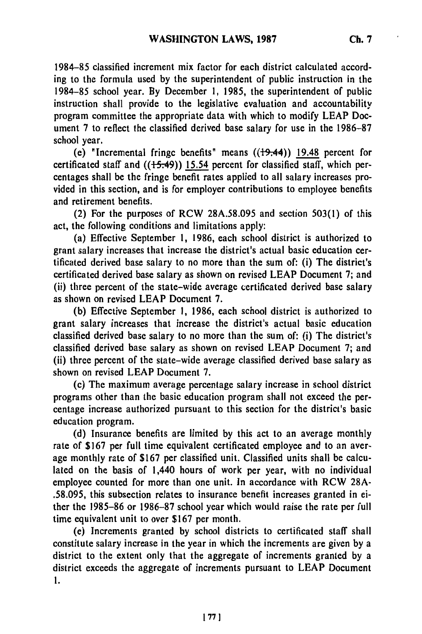1984-85 classified increment mix factor for each district calculated according to the formula used by the superintendent of public instruction in the 1984-85 school year. By December 1, **1985,** the superintendent of public instruction shall provide to the legislative evaluation and accountability program committee the appropriate data with which to modify LEAP Document 7 to reflect the classified derived base salary for use in the 1986-87 school year.

(e) "Incremental fringe benefits" means  $((19.44))$  19.48 percent for certificated staff and  $((15.49))$  15.54 percent for classified staff, which percentages shall be the fringe benefit rates applied to all salary increases provided in this section, and is for employer contributions to employee benefits and retirement benefits.

(2) For the purposes of RCW 28A.58.095 and section 503(1) of this act, the following conditions and limitations apply:

(a) Effective September 1, 1986, each school district is authorized to grant salary increases that increase the district's actual basic education certificated derived base salary to no more than the sum of: (i) The district's certificated derived base salary as shown on revised LEAP Document 7; and (ii) three percent of the state-wide average certificated derived base salary as shown on revised LEAP Document 7.

(b) Effective September 1, **1986,** each school district is authorized to grant salary increases that increase the district's actual basic education classified derived base salary to no more than the sum of: (i) The district's classified derived base salary as shown on revised LEAP Document **7;** and (ii) three percent of the state-wide average classified derived base salary as shown on revised LEAP Document 7.

(c) The maximum average percentage salary increase in school district programs other than the basic education program shall not exceed the percentage increase authorized pursuant to this section for the district's basic education program.

(d) Insurance benefits are limited by this act to an average monthly rate of \$167 per full time equivalent certificated employee and to an average monthly rate of **\$167** per classified unit. Classified units shall be calculated on the basis of 1,440 hours of work per year, with no individual employee counted for more than one unit. In accordance with RCW 28A- .58.095, this subsection relates to insurance benefit increases granted in either the 1985-86 or 1986-87 school year which would raise the rate per full time equivalent unit to over \$167 per month.

(e) Increments granted by school districts to certificated staff shall constitute salary increase in the year in which the increments are given by a district to the extent only that the aggregate of increments granted by a district exceeds the aggregate of increments pursuant to LEAP Document 1.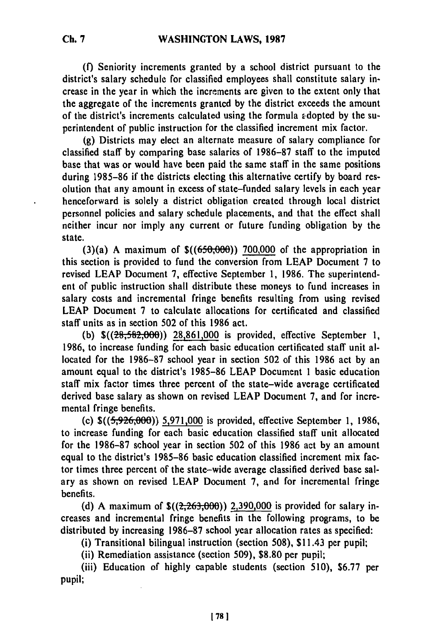**(f)** Seniority increments granted **by** a school district pursuant to the district's salary schedule for classified employees shall constitute salary increase in the year in which the increments are given to the extent only that the aggregate of the increments granted **by** the district exceeds the amount of the district's increments calculated using the formula Edopted **by** the superintendent of public instruction for the classified increment mix factor.

(g) Districts may elect an alternate measure of salary compliance for classified staff **by** comparing base salaries of **1986-87** staff to the imputed base that was or would have been paid the same staff in the same positions during 1985-86 if the districts electing this alternative certify **by** board resolution that any amount in excess of state-funded salary levels in each year henceforward is solely a district obligation created through local district personnel policies and salary schedule placements, and that the effect shall neither incur nor imply any current or future funding obligation **by** the state.

(3)(a) **A** maximum of \$((650;006)) **700,000** of the appropriation in this section is provided to fund the conversion from LEAP Document **7** to revised LEAP Document **7,** effective September **1,** 1986. The superintendent of public instruction shall distribute these moneys to fund increases in salary costs and incremental fringe benefits resulting from using revised LEAP Document 7 to calculate allocations for certificated and classified staff units as in section **502** of this 1986 act.

(b)  $\frac{\sqrt{28,582,000}}{28,861,000}$  is provided, effective September 1, **1986,** to increase funding for each basic education certificated staff unit allocated for the **1986-87** school year in section **502** of this **1986** act **by** an amount equal to the district's **1985-86** LEAP Document 1 basic education staff mix factor times three percent of the state-wide average certificated derived base salary as shown on revised LEAP Document **7,** and for incremental fringe benefits.

(c) **\$((59-26,000))** 5,971,000 is provided, effective September **1, 1986,** to increase funding for each basic education classified staff unit allocated for the **1986-87** school year in section 502 of this **1986** act **by** an amount equal to the district's 1985-86 basic education classified increment mix factor times three percent of the state-wide average classified derived base salary as shown on revised LEAP Document **7,** and for incremental fringe benefits.

(d) **A** maximum of **\$((2,263,00)) 2,390,000** is provided for salary increases and incremental fringe benefits in the following programs, to be distributed **by** increasing **1986-87** school year allocation rates as specified:

(i) Transitional bilingual instruction (section **508),** \$1 1.43 per pupil;

(ii) Remediation assistance (section 509), **\$8.80** per pupil;

(iii) Education of highly capable students (section 510), **\$6.77** per pupil;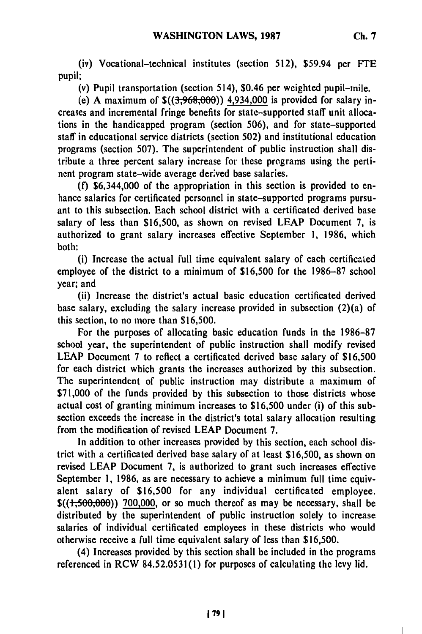(iv) Vocational-technical institutes (section **512),** \$59.94 per **FTE** pupil;

(v) Pupil transportation (section 514), \$0.46 per weighted pupil-mile.

(e) **A** maximum of **\$((3,968,,00)) 4,934,000** is provided for salary increases and incremental fringe benefits for state-supported staff unit allocations in the handicapped program (section **506),** and for state-supported staff in educational service districts (section **502)** and institutional education programs (section **507).** The superintendent of public instruction shall distribute a three percent salary increase for these programs using the pertinent program state-wide average derived base salaries.

**(f)** \$6,344,000 of the appropriation in this section is provided to enhance salaries for certificated personnel in state-supported programs pursuant to this subsection. Each school district with a certificated derived base salary of less than **\$16,500,** as shown on revised **LEAP** Document **7,** is authorized to grant salary increases effective September **1, 1986,** which both:

(i) Increase the actual full time equivalent salary of each certificated employee of the district to a minimum of **\$16,500** for the **1986-87** school year; and

(ii) Increase the district's actual basic education certificated derived base salary, excluding the salary increase provided in subsection (2)(a) of this section, to no more than **\$16,500.**

For the purposes of allocating basic education funds in the **1986-87** school year, the superintendent of public instruction shall modify revised **LEAP** Document 7 to reflect a certificated derived base salary of **\$16,500** for each district which grants the increases authorized **by** this subsection. The superintendent of public instruction may distribute a maximum of **\$71,000** of the funds provided **by** this subsection to those districts whose actual cost of granting minimum increases to **\$16,500** under (i) of this subsection exceeds the increase in the district's total salary allocation resulting from the modification of revised **LEAP** Document **7.**

In addition to other increases provided **by** this section, each school district with a certificated derived base salary of at least **\$16,500,** as shown on revised **LEAP** Document **7,** is authorized to grant such increases effective September **1, 1986,** as are necessary to achieve a minimum full time equivalent salary of **\$16,500** for any individual certificated employee. **\$((1,500,00)) 700,000,** or so much thereof as may be necessary, shall be distributed **by** the superintendent of public instruction solely to increase salaries of individual certificated employees in these districts who would otherwise receive a full time equivalent salary of less than **\$16,500.**

(4) Increases provided **by** this section shall be included in the programs referenced in RCW **84.52.0531(1)** for purposes of calculating the levy lid.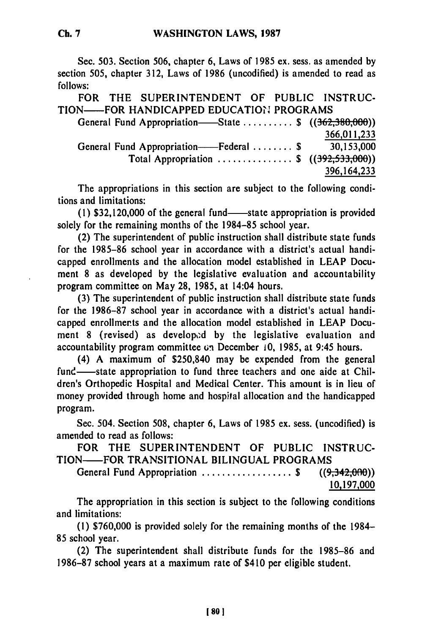Sec. **503.** Section 506, chapter **6,** Laws of **1985** ex. sess. as amended **by** section **505,** chapter **312,** Laws of **1986** (uncodified) is amended to read as **follows:**

FOR THE **SUPERINTENDENT** OF **PUBLIC** INSTRUC-TION-FOR **HANDICAPPED EDUCATION** PROGRAMS

| ON——FOR HANDICAPPED EDUCATION PROGRAMS                 |             |  |
|--------------------------------------------------------|-------------|--|
| General Fund Appropriation—State  \$ $((362,380,000))$ |             |  |
|                                                        | 366,011,233 |  |
| General Fund Appropriation——Federal  \$                | 30,153,000  |  |
| Total Appropriation  \$ $((392, 533, 000))$            |             |  |
|                                                        | 396,164,233 |  |

The appropriations in this section are subject to the following conditions and limitations:

**(1) \$32,120,000** of the general fund-state appropriation is provided solely for the remaining months of the **1984-85** school year.

(2) The superintendent of public instruction shall distribute state funds for the **1985-86** school year in accordance with a district's actual handicapped enrollments and the allocation model established in **LEAP** Document **8** as developed **by** the legislative evaluation and accountability program committee on May **28, 1985,** at 14:04 hours.

**(3)** The superintendent of public instruction shall distribute state funds for the **1986-87** school year in accordance with a district's actual handicapped enrollments and the allocation model established in **LEAP** Document 8 (revised) as developed by the legislative evaluation and accountability program committee **(;,** December **10, 1985,** at 9:45 hours.

(4) **A** maximum of \$250,840 may be expended from the general fund—state appropriation to fund three teachers and one aide at Children's Orthopedic Hospital and Medical Center. This amount is in lieu of money provided through home and hospital allocation and the handicapped program.

Sec. 504. Section **508,** chapter **6,** Laws of **1985** ex. sess. (uncodified) is amended to read as follows:

FOR THE **SUPERINTENDENT** OF **PUBLIC INSTRUC-**TION-FOR TRANSITIONAL **BILINGUAL** PROGRAMS

General Fund Appropriation ...................... \$ ((9,342,000)<br>10,197,000

The appropriation in this section is subject to the following conditions and limitations:

**(1) \$760,000** is provided solely for the remaining months of the 1984- **85** school year.

(2) The superintendent shall distribute funds for the **1985-86** and **1986-87** school years at a maximum rate of \$410 per eligible student.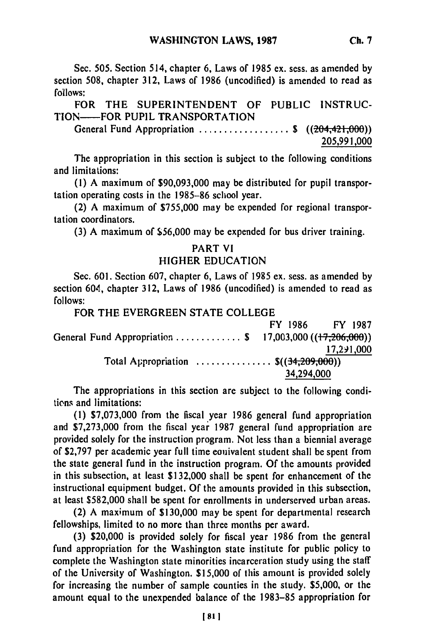Sec. **505.** Section 514, chapter **6,** Laws of 1985 ex. sess. as amended **by** section **508,** chapter **312,** Laws of **1986** (uncodified) is amended to read as **follows:**

FOR THE **SUPERINTENDENT** OF **PUBLIC INSTRUC-**TION-FOR **PUPIL** TRANSPORTATION

General Fund Appropriation .................. **\$** ((204,421,000)) **205,991,000**

The appropriation in this section is subject to the following conditions and limitations:

**(1) A** maximum of **\$90,093,000** may be distributed for pupil transportation operating costs in the **1985-86** school year.

(2) **A** maximum of **\$755,000** may be expended for regional transportation coordinators.

**(3) A** maximum of **\$56,000** may be expended for bus driver training.

### PART VI

### HIGHER **EDUCATION**

Sec. **601.** Section **607,** chapter **6,** Laws of **1985** ex. sess. as amended **by** section 604, chapter **312,** Laws of **1986** (uncodified) is amended to read as **follows:**

FOR THE EVERGREEN **STATE COLLEGE**

| FY 1986                              | <b>FY 1987</b>                                          |
|--------------------------------------|---------------------------------------------------------|
|                                      | General Fund Appropriation \$ 17,003,000 ((17,206,000)) |
|                                      | 17,291,000                                              |
| Total Appropriation $\$(34,209,000)$ |                                                         |
|                                      | 34,294,000                                              |
|                                      |                                                         |

The appropriations in this section are subject to the following condi**ticns** and limitations:

**(1) \$7,073,000** from the fiscal year **1986** general fund appropriation and **\$7,273,000** from the fiscal year **1987** general fund appropriation are provided solely for the instruction program. Not less than a biennial average of **\$2,797** per academic year full time eouivalent student shall be spent from the state general fund in the instruction program. **Of** the amounts provided in this subsection, at least **\$132,000** shall be spent for enhancement of the instructional equipment budget. **Of** the amounts provided in this subsection, at least **\$582,000** shall be spent for enrollments in underserved urban areas.

(2) A maximum of **\$130,000** may be spent for departmental research fellowships, limited to no more than three months per award.

**(3)** \$20,000 is provided solely for fiscal year **1986** from the general fund appropriation for the Washington state institute for public policy to complete the Washington state minorities incarceration study using the staff of the University of Washington. **\$15,000** of this amount is provided solely for increasing the number of sample counties in the study. **\$5,000,** or the amount equal to the unexpended balance of the **1983-85** appropriation for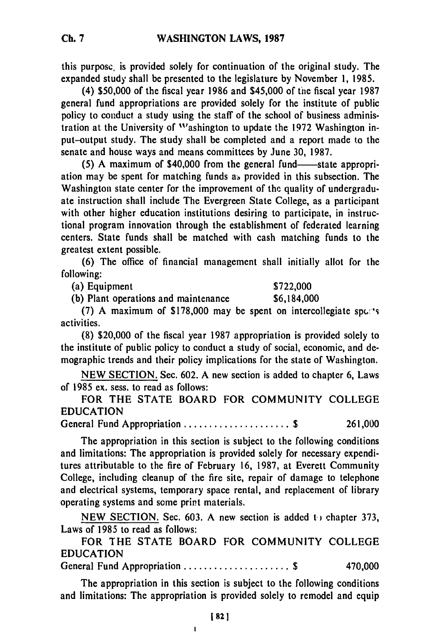this purpose, is provided solely for continuation of the original study. The expanded study shall be presented to the legislature **by** November **1, 1985.**

(4) **\$50,000** of the fiscal year **1986** and \$45,000 of the fiscal year **1987** general fund appropriations are provided solely for the institute of public policy to conduct a study using the staff of the school of business administration at the University of "'ashington to update the **1972** Washington input-output study. The study shall be completed and a report made to the senate and house ways and means committees **by** June **30, 1987.**

(5) A maximum of \$40,000 from the general fund—state appropriation may be spent for matching funds as provided in this subsection. The Washington state center for the improvement of the quality of undergraduate instruction shall include The Evergreen State College, as a participant with other higher education institutions desiring to participate, in instructional program innovation through the establishment of federated learning centers. State funds shall be matched with cash matching funds to the greatest extent possible.

**(6)** The office of financial management shall initially allot for the following:

(a) Equipment **\$722,000**

(b) Plant operations and maintenance  $$6,184,000$ 

**(7)** A maximum of \$178,000 may be spent on intercollegiate spc:'s activities.

**(8)** \$20,000 of the fiscal year **1987** appropriation is provided solely to the institute of public policy to conduct a study of social, economic, and demographic trends and their policy implications for the state of Washington.

**NEW SECTION.** Sec. **602. A** new section is added to chapter **6,** Laws of **1985** ex. sess. to read as follows:

FOR THE **STATE** BOARD FOR **COMMUNITY COLLEGE EDUCATION**

General Fund Appropriation ..................... **\$ 261,000**

The appropriation in this section is subject to the following conditions and limitations: The appropriation is provided solely for necessary expenditures attributable to the fire of February **16, 1987,** at Everett Community College, including cleanup of the fire site, repair of damage to telephone and electrical systems, temporary space rental, and replacement of library operating systems and some print materials.

**NEW SECTION.** Sec. **603. A** new section is added **t,)** chapter **373,** Laws of **1985** to read as follows:

FOR THE **STATE** BOARD FOR COMMUNITY **COLLEGE EDUCATION**

General Fund Appropriation ..................... **\$** 470,000

The appropriation in this section is subject to the following conditions and limitations: The appropriation is provided solely to remodel and equip

 $\mathbf{I}$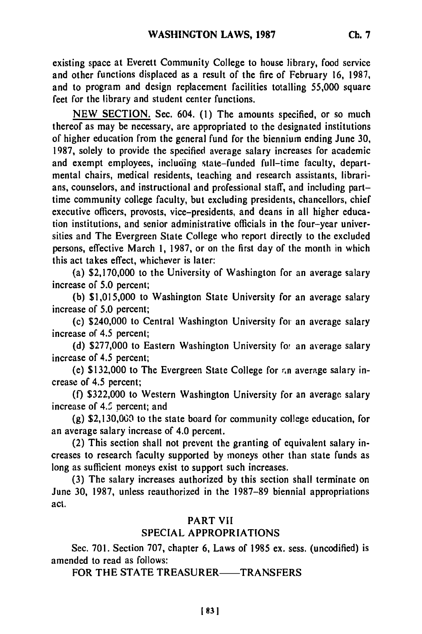existing space at Everett Community College to house library, food service and other functions displaced as a result of the fire of February **16, 1987,** and to program and design replacement facilities totalling **55,000** square feet for the library and student center functions.

**NEW SECTION.** Sec. 604. **(1)** The amounts specified, or so much thereof as may be necessary, are appropriated to the designated institutions of higher education from the general fund for the biennium ending June **30, 1987,** solely to provide the specified average salary increases for academic and exempt employees, incluoing state-funded full-time faculty, departmental chairs, medical residents, teaching and research assistants, librarians, counselors, and instructional and professional staff, and including parttime community college faculty, but excluding presidents, chancellors, chief executive officers, provosts, vice-presidents, and deans in all higher education institutions, and senior administrative officials in the four-year universities and The Evergreen State College who report directly to the excluded persons, effective March **1, 1987,** or on the first day of the month in which this act takes effect, whichever is later:

(a) **\$2,170,000** to the University of Washington for an average salary increase **of 5.0** percent;

**(b) \$1,015,000** to Washington State University for an average salary increase of **5.0** percent;

(c) \$240,000 to Central Washington University for an average salary increase of 4.5 percent;

**(d)** \$277,000 to Eastern Washington University for an average salary increase of 4.5 percent;

(e) **\$132,000** to The Evergreen State College for *rn* average salary increase of 4.5 percent;

**(f) \$322,000** to Western Washington University for an average salary increase of 4.5 percent; and

**(g) \$2,130,069** to the state board for community college education, for an average salary increase of 4.0 percent.

(2) This section shall not prevent the granting of equivalent salary increases to research faculty supported by moneys other than state funds as long as sufficient moneys exist to support such increases.

**(3)** The salary increases authorized **by** this section shall terminate on June **30, 1987,** unless reauthorized in the **1987-89** biennial appropriations act.

### PART VII

# **SPECIAL** APPROPRIATIONS

Sec. **701.** Section **707,** chapter **6,** Laws of **1985** ex. sess. (uncodified) is amended to read as follows:

FOR THE STATE TREASURER—TRANSFERS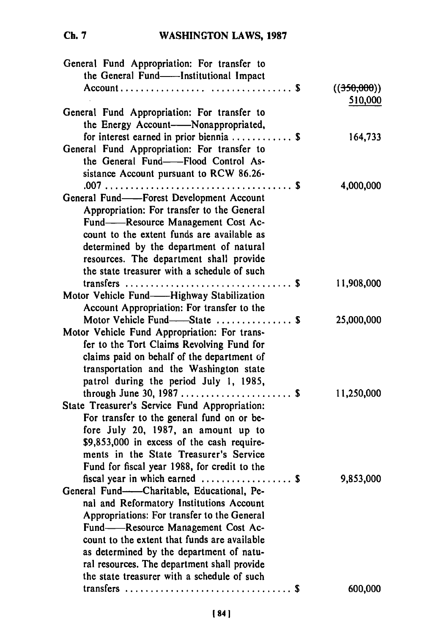# WASHINGTON LAWS, **1987**

| General Fund Appropriation: For transfer to<br>the General Fund--Institutional Impact                                                                                                                                                                                                                                                                   |                        |
|---------------------------------------------------------------------------------------------------------------------------------------------------------------------------------------------------------------------------------------------------------------------------------------------------------------------------------------------------------|------------------------|
|                                                                                                                                                                                                                                                                                                                                                         | ((350,000))<br>510,000 |
| General Fund Appropriation: For transfer to<br>the Energy Account-Monappropriated,                                                                                                                                                                                                                                                                      |                        |
| for interest earned in prior biennia  \$<br>General Fund Appropriation: For transfer to<br>the General Fund--Flood Control As-                                                                                                                                                                                                                          | 164,733                |
| sistance Account pursuant to RCW 86.26-                                                                                                                                                                                                                                                                                                                 | 4,000,000              |
| General Fund--Forest Development Account<br>Appropriation: For transfer to the General<br>Fund-Resource Management Cost Ac-<br>count to the extent funds are available as<br>determined by the department of natural<br>resources. The department shall provide<br>the state treasurer with a schedule of such                                          |                        |
| Motor Vehicle Fund——Highway Stabilization<br>Account Appropriation: For transfer to the                                                                                                                                                                                                                                                                 | 11,908,000             |
| Motor Vehicle Fund-State  \$<br>Motor Vehicle Fund Appropriation: For trans-<br>fer to the Tort Claims Revolving Fund for<br>claims paid on behalf of the department of<br>transportation and the Washington state<br>patrol during the period July 1, 1985,                                                                                            | 25,000,000             |
| State Treasurer's Service Fund Appropriation:<br>For transfer to the general fund on or be-<br>fore July 20, 1987, an amount up to<br>\$9,853,000 in excess of the cash require-<br>ments in the State Treasurer's Service<br>Fund for fiscal year 1988, for credit to the                                                                              | 11,250,000             |
| fiscal year in which earned  \$<br>General Fund-Charitable, Educational, Pe-<br>nal and Reformatory Institutions Account<br>Appropriations: For transfer to the General<br>Fund-Resource Management Cost Ac-<br>count to the extent that funds are available<br>as determined by the department of natu-<br>ral resources. The department shall provide | 9,853,000              |
| the state treasurer with a schedule of such                                                                                                                                                                                                                                                                                                             | 600,000                |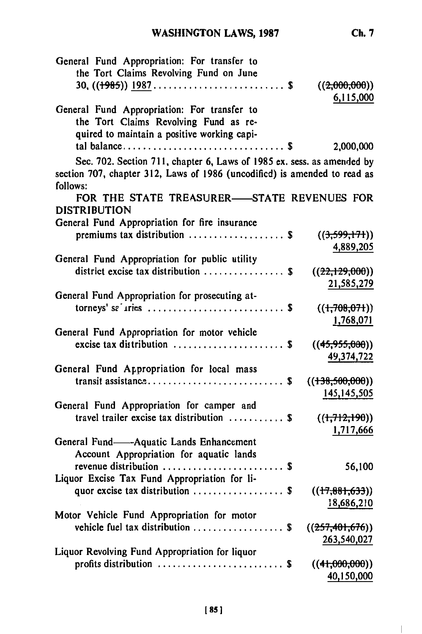$\begin{array}{c} \hline \end{array}$ 

| General Fund Appropriation: For transfer to<br>the Tort Claims Revolving Fund on June |                                  |
|---------------------------------------------------------------------------------------|----------------------------------|
| 30, $((1985))$ 1987\$                                                                 | ((2,000,000))<br>6,115,000       |
| General Fund Appropriation: For transfer to                                           |                                  |
| the Tort Claims Revolving Fund as re-                                                 |                                  |
| quired to maintain a positive working capi-                                           |                                  |
|                                                                                       | 2,000,000                        |
| Sec. 702. Section 711, chapter 6, Laws of 1985 ex. sess. as amended by                |                                  |
| section 707, chapter 312, Laws of 1986 (uncodified) is amended to read as<br>follows: |                                  |
| FOR THE STATE TREASURER-STATE REVENUES FOR<br><b>DISTRIBUTION</b>                     |                                  |
| General Fund Appropriation for fire insurance                                         |                                  |
| premiums tax distribution  \$                                                         | ((3,599,171))                    |
|                                                                                       | 4,889,205                        |
| General Fund Appropriation for public utility                                         |                                  |
| district excise tax distribution $\ldots$ \$                                          | ((22,129,000))                   |
|                                                                                       | 21,585,279                       |
| General Fund Appropriation for prosecuting at-                                        |                                  |
|                                                                                       | $((+708,071))$                   |
|                                                                                       | 1,768,071                        |
| General Fund Appropriation for motor vehicle                                          |                                  |
| excise tax distribution $\ldots \ldots \ldots \ldots \ldots$                          | ((45,955,000))                   |
|                                                                                       | 49,374,722                       |
| General Fund Appropriation for local mass                                             |                                  |
|                                                                                       | ((138,500,000))                  |
|                                                                                       | 145,145,505                      |
| General Fund Appropriation for camper and                                             |                                  |
| travel trailer excise tax distribution $\ldots \ldots \ldots$                         | ((1,712,190))                    |
|                                                                                       | 1,717,666                        |
| General Fund-Aquatic Lands Enhancement                                                |                                  |
| Account Appropriation for aquatic lands                                               |                                  |
| revenue distribution  \$                                                              | 56,100                           |
| Liquor Excise Tax Fund Appropriation for li-                                          |                                  |
| quor excise tax distribution $\ldots$ \$                                              | ((17, 881, 633))                 |
| Motor Vehicle Fund Appropriation for motor                                            | 18,686,210                       |
| vehicle fuel tax distribution  \$                                                     |                                  |
|                                                                                       | ((257, 401, 676))<br>263,540,027 |
| Liquor Revolving Fund Appropriation for liquor                                        |                                  |
| profits distribution  \$                                                              | ((41,000,000))                   |
|                                                                                       | 40,150,000                       |
|                                                                                       |                                  |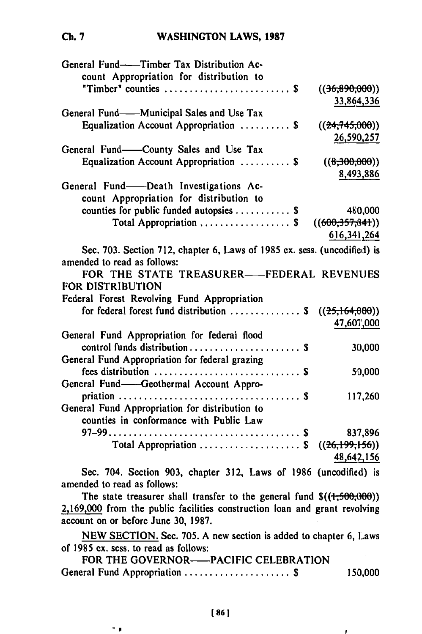### **WASHINGTON** LAWS, **1987**

| General Fund--Timber Tax Distribution Ac-<br>count Appropriation for distribution to                    |                 |
|---------------------------------------------------------------------------------------------------------|-----------------|
| "Timber" counties  \$                                                                                   | ((36,890,000))  |
|                                                                                                         | 33,864,336      |
| General Fund——Municipal Sales and Use Tax                                                               |                 |
| Equalization Account Appropriation  \$                                                                  | ((24,745,000))  |
|                                                                                                         | 26,590,257      |
| General Fund-County Sales and Use Tax                                                                   |                 |
| Equalization Account Appropriation  \$                                                                  | ((0.300,000))   |
|                                                                                                         | 8,493,886       |
| General Fund—Death Investigations Ac-                                                                   |                 |
| count Appropriation for distribution to                                                                 |                 |
| counties for public funded autopsies $\ldots$ \$                                                        | 480,000         |
| Total Appropriation  \$                                                                                 | ((600,357,841)) |
|                                                                                                         | 616, 341, 264   |
| Sec. 703. Section 712, chapter 6, Laws of 1985 ex. sess. (uncodified) is<br>amended to read as follows: |                 |
| FOR THE STATE TREASURER-FEDERAL REVENUES                                                                |                 |
| FOR DISTRIBUTION                                                                                        |                 |
| Federal Forest Revolving Fund Appropriation                                                             |                 |
| for federal forest fund distribution $\ldots \ldots \ldots$ \$ ((25,164,000))                           |                 |
|                                                                                                         | 47,607,000      |
| General Fund Appropriation for federal flood                                                            |                 |
| control funds distribution  \$                                                                          | 30,000          |
| General Fund Appropriation for federal grazing                                                          |                 |
|                                                                                                         | 50,000          |
| General Fund—Geothermal Account Appro-                                                                  |                 |
|                                                                                                         | 117,260         |
| General Fund Appropriation for distribution to<br>counties in conformance with Public Law               |                 |
|                                                                                                         | 837,896         |
| Total Appropriation  \$ $((26,199,156))$                                                                |                 |
|                                                                                                         | 48,642,156      |
| Sec. 704. Section 903, chapter 312. Laws of 1986 (uncodified) is                                        |                 |

Sec. 704. Section **903,** chapter **312,** Laws of **1986** (uncodified) is amended to read as follows:

The state treasurer shall transfer to the general fund  $\$((+,500,000))$ **2,169,000** from the public facilities construction loan and grant revolving account on or before June **30, 1987.**

**NEW SECTION.** Sec. **705. A** new section is added to chapter **6,** Laws of **1985** ex. sess. to read as follows: 65 cx, sess, to fead as follows.<br>FOR THE GOVERNOR-PACIFIC CELEBRATION

| FOR THE GOVERNOR——PACIFIC CELEBRATION |         |
|---------------------------------------|---------|
| General Fund Appropriation  \$        | 150,000 |

**Ch. 7**

 $\mathbf{r}$ 

n p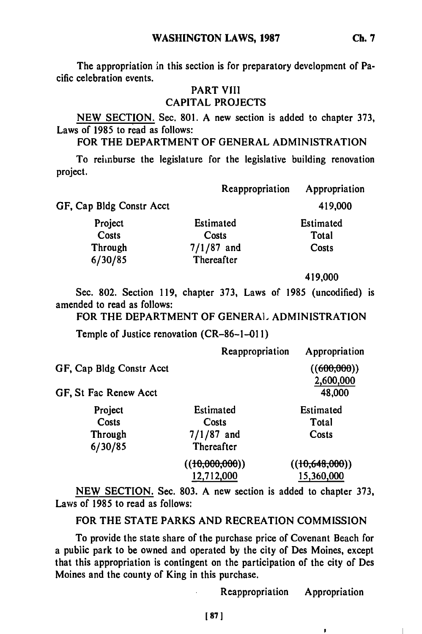The appropriation in this section is for preparatory development of Pacific celebration events.

### PART VIII **CAPITAL PROJECTS**

**NEW SECTION.** Sec. **801. A** new section is added to chapter **373,** Laws of **1985** to read as follows:

FOR THE DEPARTMENT OF **GENERAL ADMINISTRATION**

To reimburse the legislature for the legislative building renovation project.

| GF, Cap Bldg Constr Acct<br>419,000      | Appropriation |
|------------------------------------------|---------------|
|                                          |               |
| Project<br><b>Estimated</b><br>Estimated |               |
| Costs<br>Costs<br>Total                  |               |
| $7/1/87$ and<br>Through<br>Costs         |               |
| 6/30/85<br>Thereafter                    |               |

419,000

Sec. **802.** Section **119,** chapter **373,** Laws of **1985** (uncodified) is amended to read as follows:

FOR THE DEPARTMENT OF **GENERA].** ADMINISTRATION

Temple of Justice renovation (CR-86-1-01 **1)**

|                          | Reappropriation             | Appropriation               |
|--------------------------|-----------------------------|-----------------------------|
| GF, Cap Bldg Constr Acct |                             | ((600, 000))                |
|                          |                             | 2,600,000                   |
| GF, St Fac Renew Acct    |                             | 48,000                      |
| Project                  | Estimated                   | Estimated                   |
| Costs                    | Costs                       | Total                       |
| Through                  | $7/1/87$ and                | Costs                       |
| 6/30/85                  | Thereafter                  |                             |
|                          | ( <del>(10,000,000)</del> ) | ( <del>(10.648.000</del> )) |
|                          | 12,712,000                  | 15,360,000                  |

**NEW SECTION.** Sec. **803. A** new section is added to chapter **373,** Laws of **1985** to read as follows:

FOR THE **STATE** PARKS **AND** RECREATION **COMMISSION**

To provide the state share of the purchase price of Covenant Beach for a public park to be owned and operated **by** the city of Des Moines, except that this appropriation is contingent on the participation of the city of Des Moines and the county of King in this purchase.

Reappropriation Appropriation

J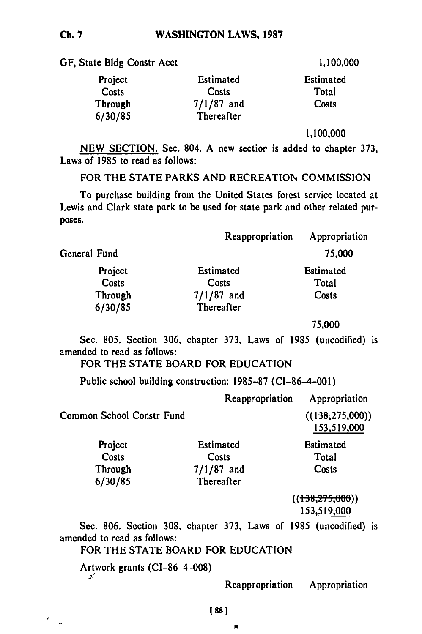**GF,** State **Bldg** Constr Acct **1,100,000**

| Project | Estimated    | <b>Estimated</b> |
|---------|--------------|------------------|
| Costs   | Costs        | Total            |
| Through | $7/1/87$ and | Costs            |
| 6/30/85 | Thereafter   |                  |

**1,100,000**

**NEW SECTION.** Sec. 804. A new sectior is added to chapter **373,** Laws of **1985** to read as follows:

FOR THE **STATE** PARKS **AND** RECREATION COMMISSION

To purchase building from the United States forest service located at Lewis and Clark state park to be used for state park and other related purposes.

|              | Reappropriation | Appropriation |
|--------------|-----------------|---------------|
| General Fund |                 | 75,000        |
| Project      | Estimated       | Estimated     |
| Costs        | Costs           | Total         |
| Through      | $7/1/87$ and    | Costs         |
| 6/30/85      | Thereafter      |               |
|              |                 |               |

75,000

Sec. **805.** Section **306,** chapter 373, Laws of **1985** (uncodified) is amended to read as follows:

# FOR THE **STATE** BOARD FOR **EDUCATION**

Public school building construction: **1985-87 (CI-86-4-001)**

|                           | Reappropriation | Appropriation                    |
|---------------------------|-----------------|----------------------------------|
| Common School Constr Fund |                 | ((138, 275, 000))<br>153,519,000 |
| Project                   | Estimated       | <b>Estimated</b>                 |
| Costs                     | Costs           | Total                            |
| Through                   | $7/1/87$ and    | Costs                            |
| 6/20/85                   | Thoronftor      |                                  |

**((138,275,006))** 153,519,000

Sec. 806. Section **308,** chapter **373,** Laws of 1985 (uncodified) is amended to read as follows:

# FOR THE **STATE** BOARD FOR **EDUCATION**

Artwork grants (CI-86-4-008) "دير

Reappropriation Appropriation

頁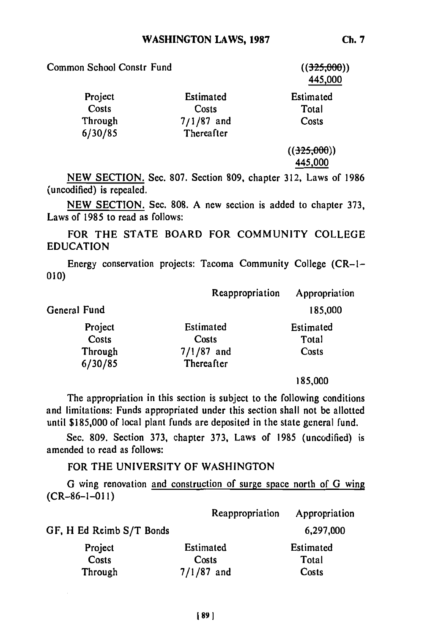| Common School Constr Fund |              | ((325,000))<br>445,000 |
|---------------------------|--------------|------------------------|
| Project                   | Estimated    | Estimated              |
| Costs                     | Costs        | Total                  |
| Through                   | $7/1/87$ and | Costs                  |
| 6/30/85                   | Thereafter   |                        |
|                           |              | ((325,000))            |
|                           |              | 445,000                |

NEW SECTION. Sec. 807. Section 809, chapter 312, Laws of 1986 (uncodified) is repealed.

NEW SECTION. Sec. 808. A new section is added to chapter 373, Laws of 1985 to read as follows:

FOR THE STATE BOARD FOR COMMUNITY COLLEGE EDUCATION

Energy conservation projects: Tacoma Community College (CR-1- 010)

|              | Reappropriation | Appropriation |
|--------------|-----------------|---------------|
| General Fund |                 | 185,000       |
| Project      | Estimated       | Estimated     |
| Costs        | Costs           | Total         |
| Through      | $7/1/87$ and    | Costs         |
| 6/30/85      | Thereafter      |               |
|              |                 |               |

**185,000**

The appropriation in this section is subject to the following conditions and limitations: Funds appropriated under this section shall not be allotted until \$185,000 of local plant funds are deposited in the state general fund.

Sec. 809. Section 373, chapter 373, Laws of 1985 (uncodified) is amended to read as follows:

### FOR THE UNIVERSITY OF WASHINGTON

**G** wing renovation and construction of surge space north of **G** wing (CR-86-1-0 **1)**

|                          | Reappropriation | Appropriation |
|--------------------------|-----------------|---------------|
| GF, H Ed Reimb S/T Bonds |                 | 6,297,000     |
| Project                  | Estimated       | Estimated     |
| Costs                    | Costs           | Total         |
| Through                  | $7/1/87$ and    | Costs         |